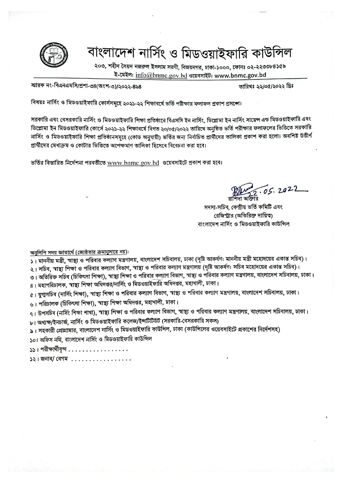

# বাংলাদেশ নার্সিং ও মিডওয়াইফারি কাউন্সিল

২০৩, শহীদ সৈয়দ নজরুল ইসলাম সরণী, বিজয়নগর, ঢাকা-১০০০, ফোনঃ ০২-২২৩৩৮৪১৫৯ ই-মেইল: info@bnmc.gov.bd ওয়েবসাইট: www.bnmc.gov.bd

স্মারক নং-বিএনএমসি/প্রশা-৩৪(অংশ-৩)/২০২২-৪৯৪

তারিখঃ ১১/০৫/২০২২ খ্রিঃ

বিষয়ঃ নার্সিং ও মিডওয়াইফারি কোর্সসমূহে ২০২১-২২ শিক্ষাবর্ষে ভর্তি পরীক্ষার ফলাফল প্রকাশ প্রসঙ্গে।

সরকারি এবং বেসরকারি নার্সিং ও মিডওয়াইফারি শিক্ষা প্রতিষ্ঠানে বিএসসি ইন নার্সিং, ডিপ্লোমা ইন নার্সিং সায়েন্স এন্ড মিডওয়াইফারি এবং ডিপ্লোমা ইন মিডওয়াইফারি কোর্সে ২০২১-২২ শিক্ষাবর্ষে বিগত ২০/০৫/২০২২ তারিখে অনুষ্ঠিত ভর্তি পরীক্ষার ফলাফলের ভিত্তিতে সরকারি নার্সিং ও মিডওয়াইফারি শিক্ষা প্রতিষ্ঠানসমূহে (কোড অনুযায়ী) ভর্তির জন্য নির্বাচিত প্রার্থীদের তালিকা প্রকাশ করা হলো। অবশিষ্ট উত্তীর্ণ প্রার্থীদের মেধাক্রম ও কোটার ভিত্তিতে অপেক্ষমাণ তালিকা হিসেবে বিবেচনা করা হবে।

ভর্তির বিস্তারিত নির্দেশনা পরবর্তীতে www.bnmc.gov.bd ওয়েবসাইটে প্রকাশ করা হবে।

 $2.05.2022$ 

সদস্য-সচিব, কেন্দ্রীয় ভর্তি কমিটি এবং রেজিস্ট্রার (অতিরিক্ত দায়িত) বাংলাদেশ নার্সিং ও মিডওয়াইফারি কাউন্সিল

#### অনলিপি সদয় জ্ঞাতার্থে (জ্যেষ্ঠতার ক্রমানুসারে নয়):

। মাননীয় মন্ত্রী, স্বাস্থ্য ও পরিবার কল্যাণ মন্ত্রণালয়, বাংলাদেশ সচিবালয়, ঢাকা (দৃষ্টি আকর্ষণ: মাননীয় মন্ত্রী মহোদয়ের একান্ত সচিব)।

- ২। সচিব, স্বাস্থ্য শিক্ষা ও পরিবার কল্যাণ বিভাগ, স্বাস্থ্য ও পরিবার কল্যাণ মন্ত্রণালয় (দৃষ্টি আকর্ষণ: সচিব মহোদয়ের একান্ত সচিব)।
- ৩। অতিরিক্ত সচিব (চিকিৎসা শিক্ষা), স্বাস্থ্য শিক্ষা ও পরিবার কল্যাণ বিভাগ, স্বাস্থ্য ও পরিবার কল্যাণ মন্ত্রণালয়, বাংলাদেশ সচিবালয়, ঢাকা।
- ৪। মহাপরিচালক, স্বাস্থ্য শিক্ষা অধিদপ্তর/নার্সিং ও মিডওয়াইফারি অধিদপ্তর, মহাখালী, ঢাকা।
- ৫। যুগ্মসচিব (নার্সিং শিক্ষা), স্বাস্থ্য শিক্ষা ও পরিবার কল্যাণ বিভাগ, স্বাস্থ্য ও পরিবার কল্যাণ মন্ত্রণালয়, বাংলাদেশ সচিবালয়, ঢাকা।
- ৬। পরিচালক (চিকিৎসা শিক্ষা), স্বাস্থ্য শিক্ষা অধিদপ্তর, মহাখালী, ঢাকা।
- ৭। উপসচিব (নার্সিং শিক্ষা শাখা), স্বাস্থ্য শিক্ষা ও পরিবার কল্যাণ বিভাগ, স্বাস্থ্য ও পরিবার কল্যাণ মন্ত্রণালয়, বাংলাদেশ সচিবালয়, ঢাকা।
- ৮। অধ্যক্ষ/ইনচার্জ, নার্সিং ও মিডওয়াইফারি কলেজ/ইন্সটিটিউট (সরকারি-বেসরকারি সকল)
- ৯। সহকারী প্রোগ্রামার, বাংলাদেশ নার্সিং ও মিডওয়াইফারি কাউন্সিল, ঢাকা (কাউন্সিলের ওয়েবসাইটে প্রকাশের নির্দেশসহ)
- ১০। অফিস নথি, বাংলাদেশ নার্সিং ও মিডওয়াইফারি কাউন্সিল
- $\mathcal{S}$ । পরীক্ষার্থীবৃন্দ $\ldots \ldots \ldots \ldots \ldots$
- $\mathcal{S}$ ২। জনাব/ বেগম  $\ldots \ldots \ldots$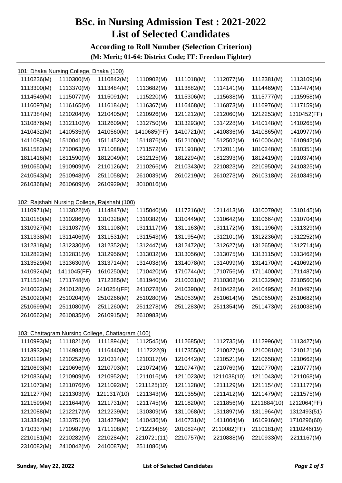# **BSc. in Nursing Admission Test : 2021-2022 List of Selected Candidates According to Roll Number (Selection Criterion)**

|            | 101: Dhaka Nursing College, Dhaka (100) |                                                   |             |            |             |             |             |
|------------|-----------------------------------------|---------------------------------------------------|-------------|------------|-------------|-------------|-------------|
| 1110236(M) | 1110300(M)                              | 1110842(M)                                        | 1110902(M)  | 1111018(M) | 1112077(M)  | 1112381(M)  | 1113109(M)  |
| 1113300(M) | 1113370(M)                              | 1113484(M)                                        | 1113682(M)  | 1113882(M) | 1114141(M)  | 1114469(M)  | 1114474(M)  |
| 1114549(M) | 1115077(M)                              | 1115091(M)                                        | 1115220(M)  | 1115306(M) | 1115638(M)  | 1115777(M)  | 1115958(M)  |
| 1116097(M) | 1116165(M)                              | 1116184(M)                                        | 1116367(M)  | 1116468(M) | 1116873(M)  | 1116976(M)  | 1117159(M)  |
| 1117384(M) | 1210204(M)                              | 1210405(M)                                        | 1210926(M)  | 1211212(M) | 1212060(M)  | 1212253(M)  | 1310452(FF) |
| 1310876(M) | 1312110(M)                              | 1312609(M)                                        | 1312750(M)  | 1313293(M) | 1314228(M)  | 1410148(M)  | 1410265(M)  |
| 1410432(M) | 1410535(M)                              | 1410560(M)                                        | 1410685(FF) | 1410721(M) | 1410836(M)  | 1410865(M)  | 1410977(M)  |
| 1411080(M) | 1510041(M)                              | 1511452(M)                                        | 1511876(M)  | 1512100(M) | 1512502(M)  | 1610004(M)  | 1610942(M)  |
| 1611582(M) | 1710063(M)                              | 1711088(M)                                        | 1711572(M)  | 1711918(M) | 1712011(M)  | 1810248(M)  | 1810351(M)  |
| 1811416(M) | 1811590(M)                              | 1812049(M)                                        | 1812125(M)  | 1812294(M) | 1812393(M)  | 1812419(M)  | 1910374(M)  |
| 1910650(M) | 1910909(M)                              | 2110126(M)                                        | 2110266(M)  | 2110343(M) | 2210823(M)  | 2210950(M)  | 2410325(M)  |
| 2410543(M) | 2510948(M)                              | 2511058(M)                                        | 2610039(M)  | 2610219(M) | 2610273(M)  | 2610318(M)  | 2610349(M)  |
| 2610368(M) | 2610609(M)                              | 2610929(M)                                        | 3010016(M)  |            |             |             |             |
|            |                                         | 102: Rajshahi Nursing College, Rajshahi (100)     |             |            |             |             |             |
| 1110971(M) | 1113022(M)                              | 1114847(M)                                        | 1115040(M)  | 1117216(M) | 1211413(M)  | 1310079(M)  | 1310145(M)  |
| 1310180(M) | 1310286(M)                              | 1310328(M)                                        | 1310382(M)  | 1310449(M) | 1310642(M)  | 1310664(M)  | 1310704(M)  |
| 1310927(M) | 1311037(M)                              | 1311108(M)                                        | 1311117(M)  | 1311163(M) | 1311172(M)  | 1311196(M)  | 1311329(M)  |
| 1311338(M) | 1311406(M)                              | 1311531(M)                                        | 1311543(M)  | 1311954(M) | 1312101(M)  | 1312236(M)  | 1312252(M)  |
| 1312318(M) | 1312330(M)                              | 1312352(M)                                        | 1312447(M)  | 1312472(M) | 1312627(M)  | 1312659(M)  | 1312714(M)  |
| 1312822(M) | 1312831(M)                              | 1312956(M)                                        | 1313032(M)  | 1313056(M) | 1313075(M)  | 1313115(M)  | 1313462(M)  |
| 1313529(M) | 1313630(M)                              | 1313714(M)                                        | 1314038(M)  | 1314078(M) | 1314099(M)  | 1314170(M)  | 1410692(M)  |
| 1410924(M) | 1411045(FF)                             | 1610250(M)                                        | 1710420(M)  | 1710744(M) | 1710756(M)  | 1711400(M)  | 1711487(M)  |
| 1711534(M) | 1711748(M)                              | 1712385(M)                                        | 1811940(M)  | 2110031(M) | 2110302(M)  | 2110329(M)  | 2210560(M)  |
| 2410022(M) | 2410128(M)                              | 2410254(FF)                                       | 2410278(M)  | 2410390(M) | 2410422(M)  | 2410495(M)  | 2410497(M)  |
| 2510020(M) | 2510204(M)                              | 2510266(M)                                        | 2510280(M)  | 2510539(M) | 2510614(M)  | 2510650(M)  | 2510682(M)  |
| 2510699(M) | 2511080(M)                              | 2511260(M)                                        | 2511278(M)  | 2511283(M) | 2511354(M)  | 2511473(M)  | 2610038(M)  |
| 2610662(M) | 2610835(M)                              | 2610915(M)                                        | 2610983(M)  |            |             |             |             |
|            |                                         | 103: Chattagram Nursing College, Chattagram (100) |             |            |             |             |             |
| 1110993(M) | 1111821(M)                              | 1111894(M)                                        | 1112545(M)  | 1112685(M) | 1112735(M)  | 1112996(M)  | 1113427(M)  |
| 1113932(M) | 1114984(M)                              | 1116440(M)                                        | 1117222(9)  | 1117355(M) | 1210027(M)  | 1210081(M)  | 1210121(M)  |
| 1210129(M) | 1210252(M)                              | 1210314(M)                                        | 1210317(M)  | 1210442(M) | 1210521(M)  | 1210658(M)  | 1210662(M)  |
| 1210693(M) | 1210696(M)                              | 1210703(M)                                        | 1210724(M)  | 1210747(M) | 1210769(M)  | 1210770(M)  | 1210777(M)  |
| 1210836(M) | 1210909(M)                              | 1210952(M)                                        | 1211016(M)  | 1211023(M) | 1211038(10) | 1211043(M)  | 1211068(M)  |
| 1211073(M) | 1211076(M)                              | 1211092(M)                                        | 1211125(10) | 1211128(M) | 1211129(M)  | 1211154(M)  | 1211177(M)  |
| 1211277(M) | 1211303(M)                              | 1211317(10)                                       | 1211343(M)  | 1211355(M) | 1211412(M)  | 1211479(M)  | 1211575(M)  |
| 1211599(M) | 1211644(M)                              | 1211731(M)                                        | 1211745(M)  | 1211820(M) | 1211856(M)  | 1211884(10) | 1212064(FF) |
| 1212088(M) | 1212217(M)                              | 1212239(M)                                        | 1310309(M)  | 1311068(M) | 1311897(M)  | 1311964(M)  | 1312493(51) |
| 1313342(M) | 1313751(M)                              | 1314279(M)                                        | 1410436(M)  | 1410731(M) | 1411004(M)  | 1610916(M)  | 1710296(60) |
| 1710337(M) | 1710987(M)                              | 1711108(M)                                        | 1712234(59) | 2010824(M) | 2110082(FF) | 2110181(M)  | 2110246(19) |
| 2210151(M) | 2210282(M)                              | 2210284(M)                                        | 2210721(11) | 2210757(M) | 2210888(M)  | 2210933(M)  | 2211167(M)  |
| 2310082(M) | 2410042(M)                              | 2410087(M)                                        | 2511086(M)  |            |             |             |             |
|            |                                         |                                                   |             |            |             |             |             |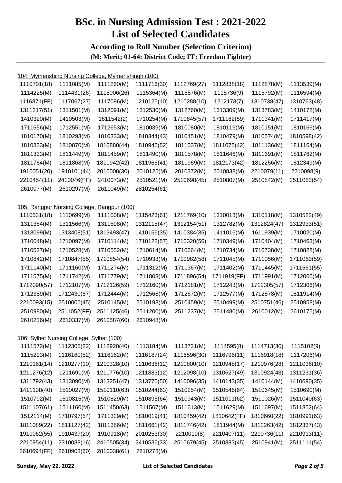### **BSc. in Nursing Admission Test : 2021-2022 List of Selected Candidates According to Roll Number (Selection Criterion) (M: Merit; 01-64: District Code; FF: Freedom Fighter)**

104: Mymenshing Nursing College, Mymenshingh (100)

| 1110701(18) | 1111085(M)                                | 1111260(M)                                  | 1111716(30) | 1112769(27) | 1112838(18) | 1112878(M)  | 1113539(M)  |
|-------------|-------------------------------------------|---------------------------------------------|-------------|-------------|-------------|-------------|-------------|
| 1114225(M)  | 1114431(26)                               | 1115006(26)                                 | 1115364(M)  | 1115576(M)  | 1115736(9)  | 1115792(M)  | 1116594(M)  |
| 1116871(FF) | 1117067(27)                               | 1117096(M)                                  | 1210125(10) | 1210288(10) | 1212173(7)  | 1310738(47) | 1310763(48) |
| 1311217(51) | 1311501(M)                                | 1312091(M)                                  | 1312530(M)  | 1312760(M)  | 1313309(M)  | 1313783(M)  | 1410172(M)  |
| 1410320(M)  | 1410503(M)                                | 1611542(2)                                  | 1710254(M)  | 1710845(57) | 1711182(59) | 1711341(M)  | 1711417(M)  |
| 1711656(M)  | 1712551(M)                                | 1712653(M)                                  | 1810039(M)  | 1810080(M)  | 1810119(M)  | 1810151(M)  | 1810166(M)  |
| 1810170(M)  | 1810293(M)                                | 1810333(M)                                  | 1810344(43) | 1810451(M)  | 1810479(M)  | 1810574(M)  | 1810598(42) |
| 1810833(M)  | 1810870(M)                                | 1810880(44)                                 | 1810946(52) | 1811037(M)  | 1811075(42) | 1811136(M)  | 1811164(M)  |
| 1811333(M)  | 1811449(M)                                | 1811459(M)                                  | 1811490(M)  | 1811578(M)  | 1811646(M)  | 1811691(M)  | 1811762(M)  |
| 1811764(M)  | 1811868(M)                                | 1811942(42)                                 | 1811966(41) | 1811969(M)  | 1812173(42) | 1812256(M)  | 1812349(M)  |
| 1910051(20) | 1910101(44)                               | 2010008(30)                                 | 2010125(M)  | 2010372(M)  | 2010838(M)  | 2210079(11) | 2210098(9)  |
| 2210454(11) | 2410046(FF)                               | 2410073(M)                                  | 2510521(M)  | 2510698(45) | 2510807(M)  | 2510842(M)  | 2511083(54) |
| 2610077(M)  | 2610297(M)                                | 2611049(M)                                  | 2810254(61) |             |             |             |             |
|             |                                           |                                             |             |             |             |             |             |
|             |                                           | 105: Rangpur Nursing College, Rangpur (100) |             |             |             |             |             |
| 1110531(18) | 1110699(M)                                | 1111008(M)                                  | 1115423(61) | 1211769(10) | 1310013(M)  | 1310118(M)  | 1310522(49) |
| 1311384(M)  | 1311566(M)                                | 1311598(M)                                  | 1312115(47) | 1312154(51) | 1312782(M)  | 1312824(47) | 1312933(51) |
| 1313099(M)  | 1313408(51)                               | 1313493(47)                                 | 1410156(35) | 1410384(35) | 1411016(M)  | 1611939(M)  | 1710020(M)  |
| 1710048(M)  | 1710097(M)                                | 1710114(M)                                  | 1710122(57) | 1710320(56) | 1710349(M)  | 1710404(M)  | 1710463(M)  |
| 1710527(M)  | 1710528(M)                                | 1710552(M)                                  | 1710614(M)  | 1710664(M)  | 1710734(M)  | 1710738(M)  | 1710828(M)  |
| 1710842(M)  | 1710847(55)                               | 1710854(54)                                 | 1710933(M)  | 1710982(58) | 1711045(M)  | 1711056(M)  | 1711069(59) |
| 1711140(M)  | 1711160(M)                                | 1711274(M)                                  | 1711312(M)  | 1711367(M)  | 1711402(M)  | 1711445(M)  | 1711561(55) |
| 1711575(M)  | 1711742(M)                                | 1711779(M)                                  | 1711803(M)  | 1711896(54) | 1711919(FF) | 1711991(M)  | 1712066(M)  |
| 1712090(57) | 1712107(M)                                | 1712126(59)                                 | 1712160(M)  | 1712181(M)  | 1712243(M)  | 1712305(57) | 1712306(M)  |
| 1712389(M)  | 1712430(57)                               | 1712444(M)                                  | 1712568(M)  | 1712572(M)  | 1712577(M)  | 1712578(M)  | 1811914(M)  |
| 2210093(15) | 2510006(45)                               | 2510145(M)                                  | 2510193(M)  | 2510459(M)  | 2510499(M)  | 2510751(46) | 2510958(M)  |
| 2510980(M)  | 2511052(FF)                               | 2511125(46)                                 | 2511200(M)  | 2511237(M)  | 2511480(M)  | 2610012(M)  | 2610175(M)  |
| 2610216(M)  | 2610337(M)                                | 2610587(60)                                 | 2610948(M)  |             |             |             |             |
|             | 106: Sylhet Nursing College, Sylhet (100) |                                             |             |             |             |             |             |
| 1111572(M)  | 1112305(22)                               | 1112920(40)                                 | 1113184(M)  | 1113721(M)  | 1114595(8)  | 1114713(30) | 1115102(9)  |
| 1115293(M)  | 1116160(52)                               | 1116162(M)                                  | 1116187(24) | 1116596(30) | 1116796(11) | 1116918(18) | 1117206(M)  |
| 1210161(14) | 1210277(10)                               | 1210328(10)                                 | 1210636(12) | 1210800(10) | 1210948(17) | 1210976(28) | 1211036(10) |
| 1211276(12) | 1211691(M)                                | 1211776(10)                                 | 1211883(12) | 1212098(10) | 1310627(49) | 1310924(48) | 1311231(36) |
| 1311792(43) | 1313090(M)                                | 1313251(47)                                 | 1313770(50) | 1410096(35) | 1410143(35) | 1410144(M)  | 1410690(35) |
| 1411138(40) | 1510027(M)                                | 1510110(63)                                 | 1510244(63) | 1510254(M)  | 1510546(64) | 1510645(M)  | 1510690(M)  |
| 1510792(M)  | 1510815(M)                                | 1510829(M)                                  | 1510895(64) | 1510943(M)  | 1511011(62) | 1511026(M)  | 1511040(63) |
| 1511107(61) | 1511160(M)                                | 1511450(63)                                 | 1511567(M)  | 1511613(M)  | 1511629(M)  | 1511697(M)  | 1511852(64) |
| 1512114(M)  | 1710797(54)                               | 1711329(M)                                  | 1810019(41) | 1810459(42) | 1810642(FF) | 1810660(22) | 1810991(63) |
| 1811089(22) | 1811127(42)                               | 1811386(M)                                  | 1811661(42) | 1811746(42) | 1811944(M)  | 1812263(42) | 1812337(43) |
| 1910062(55) | 1910437(20)                               | 1910918(M)                                  | 2010253(30) | 2210019(8)  | 2210407(11) | 2210736(11) | 2210913(11) |
| 2210954(11) | 2310088(16)                               | 2410505(34)                                 | 2410536(33) | 2510679(45) | 2510883(45) | 2510941(M)  | 2511111(54) |
| 2610694(FF) | 2610903(60)                               | 2810038(61)                                 | 2810278(M)  |             |             |             |             |
|             |                                           |                                             |             |             |             |             |             |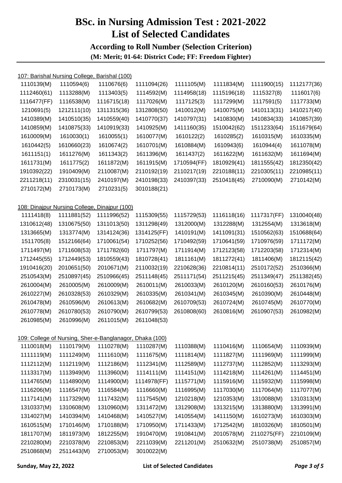# **BSc. in Nursing Admission Test : 2021-2022 List of Selected Candidates According to Roll Number (Selection Criterion)**

|             | 107: Barishal Nursing College, Barishal (100) |             |             |             |             |             |             |
|-------------|-----------------------------------------------|-------------|-------------|-------------|-------------|-------------|-------------|
| 1110139(M)  | 1110594(6)                                    | 1110676(6)  | 1111094(26) | 1111105(M)  | 1111834(M)  | 1111900(15) | 1112177(36) |
| 1112460(61) | 1113288(M)                                    | 1113403(5)  | 1114592(M)  | 1114958(18) | 1115196(18) | 1115327(8)  | 1116017(6)  |
| 1116477(FF) | 1116538(M)                                    | 1116715(18) | 1117026(M)  | 1117125(3)  | 1117299(M)  | 1117591(5)  | 1117733(M)  |
| 1210691(5)  | 1212111(10)                                   | 1311315(36) | 1312808(50) | 1410012(M)  | 1410075(M)  | 1410113(31) | 1410217(40) |
| 1410389(M)  | 1410510(35)                                   | 1410559(40) | 1410770(37) | 1410797(31) | 1410830(M)  | 1410834(33) | 1410857(39) |
| 1410859(M)  | 1410875(33)                                   | 1410919(33) | 1410925(M)  | 1411160(35) | 1510042(62) | 1511233(64) | 1511679(64) |
| 1610009(M)  | 1610030(1)                                    | 1610055(1)  | 1610077(M)  | 1610122(2)  | 1610285(2)  | 1610315(M)  | 1610335(M)  |
| 1610442(5)  | 1610660(23)                                   | 1610674(2)  | 1610701(M)  | 1610884(M)  | 1610943(6)  | 1610944(4)  | 1611078(M)  |
| 1611151(1)  | 1611276(M)                                    | 1611343(2)  | 1611396(M)  | 1611437(2)  | 1611622(M)  | 1611632(M)  | 1611694(M)  |
| 1611731(M)  | 1611775(2)                                    | 1611872(M)  | 1611915(M)  | 1710594(FF) | 1810929(41) | 1811555(42) | 1812350(42) |
| 1910392(22) | 1910409(M)                                    | 2110087(M)  | 2110192(19) | 2110217(19) | 2210188(11) | 2210305(11) | 2210985(11) |
| 2211218(11) | 2310031(15)                                   | 2410197(M)  | 2410198(33) | 2410397(33) | 2510418(45) | 2710090(M)  | 2710142(M)  |
| 2710172(M)  | 2710173(M)                                    | 2710231(5)  | 3010188(21) |             |             |             |             |
|             |                                               |             |             |             |             |             |             |
|             | 108: Dinajpur Nursing College, Dinajpur (100) |             |             |             |             |             |             |
| 1111418(8)  | 1111881(52)                                   | 1111996(52) | 1115309(55) | 1115729(53) | 1116118(16) | 1117317(FF) | 1310040(48) |
| 1310612(48) | 1310675(50)                                   | 1311013(50) | 1311298(49) | 1312000(M)  | 1312288(M)  | 1312554(M)  | 1313618(M)  |
| 1313665(M)  | 1313774(M)                                    | 1314124(36) | 1314125(FF) | 1410191(M)  | 1411091(31) | 1510562(63) | 1510688(64) |
| 1511705(8)  | 1512166(64)                                   | 1710061(54) | 1710252(56) | 1710492(59) | 1710641(59) | 1710976(59) | 1711172(M)  |
| 1711497(M)  | 1711608(53)                                   | 1711782(60) | 1711797(M)  | 1711914(M)  | 1712123(58) | 1712203(58) | 1712314(M)  |
| 1712445(55) | 1712449(53)                                   | 1810559(43) | 1810728(41) | 1811161(M)  | 1811272(41) | 1811406(M)  | 1812115(42) |
| 1910416(20) | 2010651(50)                                   | 2010671(M)  | 2110032(19) | 2210628(36) | 2210814(11) | 2510172(52) | 2510366(M)  |
| 2510543(M)  | 2510897(45)                                   | 2510966(45) | 2511148(45) | 2511171(54) | 2511215(45) | 2511349(47) | 2511382(45) |
| 2610004(M)  | 2610005(M)                                    | 2610009(M)  | 2610011(M)  | 2610033(M)  | 2610120(M)  | 2610160(53) | 2610176(M)  |
| 2610227(M)  | 2610328(53)                                   | 2610329(M)  | 2610335(M)  | 2610341(M)  | 2610345(M)  | 2610390(M)  | 2610448(M)  |
| 2610478(M)  | 2610596(M)                                    | 2610613(M)  | 2610682(M)  | 2610709(53) | 2610724(M)  | 2610745(M)  | 2610770(M)  |
| 2610778(M)  | 2610780(53)                                   | 2610790(M)  | 2610799(53) | 2610808(60) | 2610816(M)  | 2610907(53) | 2610982(M)  |
| 2610985(M)  | 2610996(M)                                    | 2611015(M)  | 2611048(53) |             |             |             |             |
|             |                                               |             |             |             |             |             |             |
|             | 109: College of Nursing, Sher-e-Banglanagor,  |             | Dhaka (100) |             |             |             |             |
| 1110018(M)  | 1110179(M)                                    | 1110278(M)  | 1110287(M)  | 1110388(M)  | 1110416(M)  | 1110654(M)  | 1110939(M)  |
| 1111119(M)  | 1111249(M)                                    | 1111610(M)  | 1111675(M)  | 1111814(M)  | 1111827(M)  | 1111969(M)  | 1111999(M)  |
| 1112112(M)  | 1112119(M)                                    | 1112186(M)  | 1112341(M)  | 1112589(M)  | 1112737(M)  | 1112852(M)  | 1113293(M)  |
| 1113317(M)  | 1113949(M)                                    | 1113960(M)  | 1114111(M)  | 1114151(M)  | 1114218(M)  | 1114261(M)  | 1114451(M)  |
| 1114765(M)  | 1114890(M)                                    | 1114900(M)  | 1114978(FF) | 1115771(M)  | 1115916(M)  | 1115932(M)  | 1115998(M)  |
| 1116206(M)  | 1116547(M)                                    | 1116584(M)  | 1116660(M)  | 1116995(M)  | 1117030(M)  | 1117064(M)  | 1117077(M)  |
| 1117141(M)  | 1117329(M)                                    | 1117432(M)  | 1117545(M)  | 1210218(M)  | 1210353(M)  | 1310088(M)  | 1310313(M)  |
| 1310337(M)  | 1310608(M)                                    | 1310960(M)  | 1311472(M)  | 1312908(M)  | 1313215(M)  | 1313880(M)  | 1313991(M)  |
| 1314027(M)  | 1410394(M)                                    | 1410468(M)  | 1410527(M)  | 1410554(M)  | 1411150(M)  | 1610273(M)  | 1610303(M)  |
| 1610515(M)  | 1710146(M)                                    | 1710188(M)  | 1710950(M)  | 1711433(M)  | 1712542(M)  | 1810326(M)  | 1810501(M)  |
| 1811707(M)  | 1811973(M)                                    | 1812255(M)  | 1910470(M)  | 1910841(M)  | 2010578(M)  | 2110275(FF) | 2210109(M)  |
| 2210280(M)  | 2210378(M)                                    | 2210853(M)  | 2211039(M)  | 2211201(M)  | 2510632(M)  | 2510738(M)  | 2510857(M)  |
| 2510868(M)  | 2511443(M)                                    | 2710053(M)  | 3010022(M)  |             |             |             |             |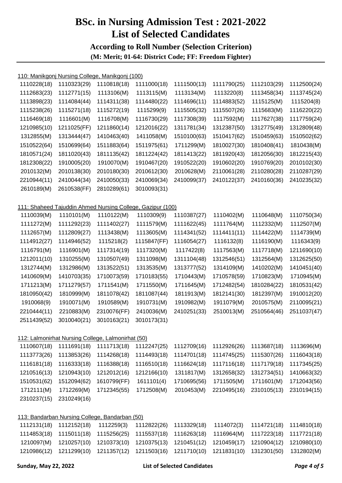### **BSc. in Nursing Admission Test : 2021-2022 List of Selected Candidates According to Roll Number (Selection Criterion) (M: Merit; 01-64: District Code; FF: Freedom Fighter)**

110: Manikgonj Nursing College, Manikgonj (100)

| 1110228(18) | 1110323(29)                                                | 1110818(18) | 1111000(18) | 1111500(13) | 1111790(25) | 1112103(29)         | 1112500(24) |
|-------------|------------------------------------------------------------|-------------|-------------|-------------|-------------|---------------------|-------------|
| 1112683(23) | 1112771(15)                                                | 1113106(M)  | 1113115(M)  | 1113134(M)  | 1113220(8)  | 1113458(34)         | 1113745(24) |
| 1113898(23) | 1114084(44)                                                | 1114311(38) | 1114480(22) | 1114696(11) | 1114883(52) | 1115125(M)          | 1115204(8)  |
| 1115238(26) | 1115271(18)                                                | 1115272(19) | 1115299(9)  | 1115505(32) | 1115507(26) | 1115683(M)          | 1116220(22) |
| 1116469(18) | 1116601(M)                                                 | 1116708(M)  | 1116730(29) | 1117308(39) | 1117592(M)  | 1117627(38)         | 1117759(24) |
| 1210985(10) | 1211025(FF)                                                | 1211860(14) | 1212016(22) | 1311781(34) | 1312387(50) | 1312775(49)         | 1312809(48) |
| 1312855(M)  | 1313444(47)                                                | 1410463(40) | 1411058(M)  | 1510100(63) | 1510417(62) | 1510459(63)         | 1510502(62) |
| 1510522(64) | 1510699(64)                                                | 1511883(64) | 1511975(61) | 1711299(M)  | 1810027(30) | 1810408(41)         | 1810438(M)  |
| 1810571(24) | 1811020(43)                                                | 1811135(42) | 1811224(42) | 1811413(22) | 1811920(43) | 1812056(30)         | 1812215(43) |
| 1812308(22) | 1910005(20)                                                | 1910070(M)  | 1910467(20) | 1910522(20) | 1910602(20) | 1910769(20)         | 2010102(30) |
| 2010132(M)  | 2010138(30)                                                | 2010180(30) | 2010612(30) | 2010628(M)  | 2110061(28) | 2110280(28)         | 2110287(29) |
| 2210944(11) | 2410044(34)                                                | 2410050(33) | 2410069(34) | 2410099(37) | 2410122(37) | 2410160(36)         | 2410235(32) |
| 2610189(M)  | 2610538(FF)                                                | 2810289(61) | 3010093(31) |             |             |                     |             |
|             |                                                            |             |             |             |             |                     |             |
|             | 111: Shaheed Tajuddin Ahmed Nursing College, Gazipur (100) |             |             |             |             |                     |             |
| 1110039(M)  | 1110101(M)                                                 | 1110122(M)  | 1110309(9)  | 1110387(27) | 1110402(M)  | 1110648(M)          | 1110750(34) |
| 1111272(M)  | 1111292(23)                                                | 1111402(27) | 1111579(M)  | 1111622(45) | 1111764(M)  | 1112332(M)          | 1112507(M)  |
| 1112657(M)  | 1112809(27)                                                | 1113438(M)  | 1113605(M)  | 1114341(52) | 1114411(11) | 1114422(M)          | 1114739(M)  |
| 1114912(27) | 1114946(52)                                                | 1115218(2)  | 1115847(FF) | 1116054(27) | 1116132(8)  | 1116190(M)          | 1116343(9)  |
| 1116791(M)  | 1116901(M)                                                 | 1117314(19) | 1117320(M)  | 1117422(8)  | 1117563(M)  | 1117718(M)          | 1211690(10) |
| 1212011(10) | 1310255(M)                                                 | 1310507(49) | 1311098(M)  | 1311104(48) | 1312546(51) | 1312564(M)          | 1312625(50) |
| 1312744(M)  | 1312986(M)                                                 | 1313522(51) | 1313535(M)  | 1313777(52) | 1314109(M)  | 1410202(M)          | 1410451(40) |
| 1410609(M)  | 1410703(35)                                                | 1710073(59) | 1710183(55) | 1710443(M)  | 1710578(59) | 1710823(M)          | 1710945(M)  |
| 1711213(M)  | 1711279(57)                                                | 1711541(M)  | 1711550(M)  | 1711645(M)  | 1712482(54) | 1810284(22)         | 1810531(42) |
| 1810950(42) | 1810999(M)                                                 | 1811078(42) | 1811087(44) | 1811913(M)  | 1812141(30) | 1812397(M)          | 1910012(20) |
| 1910068(9)  | 1910071(M)                                                 | 1910589(M)  | 1910731(M)  | 1910982(M)  | 1911079(M)  | 2010575(M)          | 2110095(21) |
| 2210444(11) | 2210883(M)                                                 | 2310076(FF) | 2410036(M)  | 2410251(33) | 2510013(M)  | 2510564(46)         | 2511037(47) |
| 2511439(52) | 3010040(21)                                                | 3010163(21) | 3010173(31) |             |             |                     |             |
|             |                                                            |             |             |             |             |                     |             |
|             | 112: Lalmonirhat Nursing College, Lalmonirhat (50)         |             |             |             |             |                     |             |
| 4440007(40) |                                                            |             |             |             |             | A A A O O O T (A O) |             |

| וויווסיפטכווו (סון/סטטכווו (טון/פטוני (טב)/1424/12 ווי (סון/פוונוווי (סון/פטונוו (סון/סטטנוני)  |  |  |  |
|-------------------------------------------------------------------------------------------------|--|--|--|
| 1113773(26) 1113853(26) 1114268(18) 1114493(18) 1114701(18) 1114745(25) 1115307(26) 1116043(18) |  |  |  |
| 1116181(18) 1116333(18) 1116388(18) 1116510(18) 1116624(18) 1117116(18) 1117179(18) 1117345(25) |  |  |  |
| 1210516(13) 1210943(10) 1212012(16) 1212166(10) 1311817(M) 1312658(32) 1312734(51) 1410663(32)  |  |  |  |
| 1510531(62) 1512094(62) 1610799(FF) 1611101(4) 1710695(56) 1711505(M) 1711601(M) 1712043(56)    |  |  |  |
| 1712111(M) 1712269(M) 1712345(55) 1712508(M) 2010453(M) 2210495(16) 2310105(13) 2310194(15)     |  |  |  |
| 2310237(15) 2310249(16)                                                                         |  |  |  |

|  | 113: Bandarban Nursing College, Bandarban (50) |
|--|------------------------------------------------|
|--|------------------------------------------------|

|  |  |  | 1112131(18) 1112152(18) 1112259(3) 1112822(26) 1113329(18) 1114072(3) 1114721(18) 1114810(18)  |  |
|--|--|--|------------------------------------------------------------------------------------------------|--|
|  |  |  | 1114853(18) 1115011(18) 1115256(25) 1115537(18) 1116263(18) 1116964(M) 1117223(18) 1117721(18) |  |
|  |  |  | 1210097(M) 1210257(10) 1210373(10) 1210375(13) 1210451(12) 1210459(17) 1210904(12) 1210980(10) |  |
|  |  |  | 1210986(12) 1211299(10) 1211357(12) 1211503(16) 1211710(10) 1211831(10) 1312301(50) 1312802(M) |  |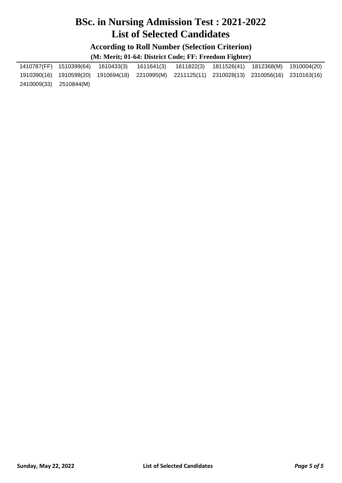# **BSc. in Nursing Admission Test : 2021-2022 List of Selected Candidates**

**According to Roll Number (Selection Criterion) (M: Merit; 01-64: District Code; FF: Freedom Fighter)**

|                        |  | 1410787(FF) 1510399(64) 1610433(3) 1611641(3) 1611822(3) 1811526(41) 1812368(M) 1910004(20)    |  |  |
|------------------------|--|------------------------------------------------------------------------------------------------|--|--|
|                        |  | 1910390(16) 1910599(20) 1910694(18) 2210995(M) 2211125(11) 2310028(13) 2310056(16) 2310163(16) |  |  |
| 2410009(33) 2510844(M) |  |                                                                                                |  |  |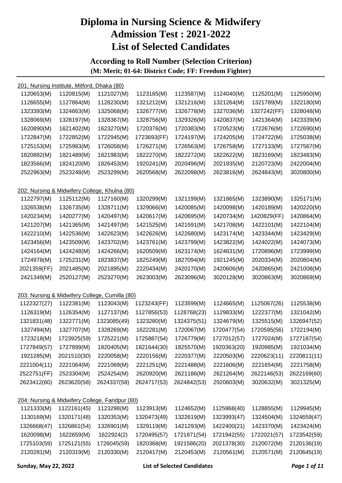### **According to Roll Number (Selection Criterion) (M: Merit; 01-64: District Code; FF: Freedom Fighter)**

|             | Dhaka (80)  |                                  |                                                                                                                                                    |             |             |             |
|-------------|-------------|----------------------------------|----------------------------------------------------------------------------------------------------------------------------------------------------|-------------|-------------|-------------|
| 1120815(M)  | 1121027(M)  | 1123185(M)                       | 1123587(M)                                                                                                                                         | 1124040(M)  | 1125201(M)  | 1125950(M)  |
| 1127864(M)  | 1128230(M)  | 1321212(M)                       | 1321216(M)                                                                                                                                         | 1321264(M)  | 1321789(M)  | 1322180(M)  |
| 1324663(M)  | 1325068(M)  | 1326777(M)                       | 1326778(M)                                                                                                                                         | 1327036(M)  | 1327242(FF) | 1328048(M)  |
| 1328197(M)  | 1328367(M)  | 1328756(M)                       | 1329326(M)                                                                                                                                         | 1420837(M)  | 1421364(M)  | 1423339(M)  |
| 1621402(M)  | 1623270(M)  | 1720376(M)                       | 1720383(M)                                                                                                                                         | 1720523(M)  | 1722676(M)  | 1722690(M)  |
| 1722852(M)  | 1722945(M)  | 1723693(FF)                      | 1724197(M)                                                                                                                                         | 1724205(M)  | 1724722(M)  | 1725038(M)  |
| 1725983(M)  | 1726058(M)  | 1726271(M)                       | 1726563(M)                                                                                                                                         | 1726758(M)  | 1727133(M)  | 1727567(M)  |
| 1821489(M)  | 1821983(M)  | 1822270(M)                       | 1822272(M)                                                                                                                                         | 1822622(M)  | 1823169(M)  | 1823483(M)  |
| 1824120(M)  | 1826453(M)  | 1920241(M)                       | 2020496(M)                                                                                                                                         | 2021935(M)  | 2120723(M)  | 2422004(M)  |
| 2523248(M)  | 2523299(M)  | 2620568(M)                       | 2622098(M)                                                                                                                                         | 2623816(M)  | 2624843(M)  | 3020800(M)  |
|             |             |                                  |                                                                                                                                                    |             |             |             |
| 1125112(M)  | 1127160(M)  | 1320299(M)                       | 1321199(M)                                                                                                                                         | 1321865(M)  | 1323890(M)  | 1325171(M)  |
| 1326735(M)  | 1328711(M)  | 1329066(M)                       | 1420085(M)                                                                                                                                         | 1420098(M)  | 1420189(M)  | 1420220(M)  |
| 1420277(M)  | 1420497(M)  | 1420617(M)                       | 1420695(M)                                                                                                                                         | 1420734(M)  | 1420829(FF) | 1420864(M)  |
| 1421365(M)  | 1421497(M)  | 1421525(M)                       | 1421591(M)                                                                                                                                         | 1421708(M)  | 1422101(M)  | 1422104(M)  |
| 1422536(M)  | 1422623(M)  | 1422626(M)                       | 1422680(M)                                                                                                                                         | 1423174(M)  | 1423344(M)  | 1423429(M)  |
| 1423509(M)  | 1423702(M)  | 1423761(M)                       | 1423799(M)                                                                                                                                         | 1423822(M)  | 1424022(M)  | 1424073(M)  |
| 1424248(M)  | 1424266(M)  | 1620509(M)                       | 1623174(M)                                                                                                                                         | 1624631(M)  | 1720896(M)  | 1723999(M)  |
| 1725231(M)  | 1823837(M)  | 1825249(M)                       | 1827094(M)                                                                                                                                         | 1921245(M)  | 2020334(M)  | 2020804(M)  |
| 2021485(M)  | 2021895(M)  | 2220434(M)                       | 2420170(M)                                                                                                                                         | 2420606(M)  | 2420865(M)  | 2421008(M)  |
| 2520127(M)  | 2523270(M)  | 2623003(M)                       | 2623096(M)                                                                                                                                         | 3020128(M)  | 3020863(M)  | 3020869(M)  |
|             |             |                                  |                                                                                                                                                    |             |             |             |
| 1122381(M)  | 1123043(M)  | 1123243(FF)                      | 1123599(M)                                                                                                                                         | 1124665(M)  | 1125067(26) | 1125538(M)  |
| 1126354(M)  | 1127137(M)  | 1127856(53)                      | 1128768(23)                                                                                                                                        | 1129833(M)  | 1222377(M)  | 1321042(M)  |
| 1322771(M)  | 1323085(49) | 1323280(M)                       | 1324375(51)                                                                                                                                        | 1324679(M)  | 1325515(M)  | 1326947(52) |
| 1327707(M)  | 1328269(M)  | 1622281(M)                       | 1720067(M)                                                                                                                                         | 1720477(54) | 1720595(56) | 1722194(M)  |
| 1723925(59) | 1725221(M)  | 1725887(54)                      | 1726779(M)                                                                                                                                         | 1727012(57) | 1727024(M)  | 1727187(54) |
| 1727899(M)  | 1820405(M)  | 1821644(30)                      | 1825570(M)                                                                                                                                         | 1920363(20) | 1920985(M)  | 1921034(M)  |
| 2021510(30) | 2220058(M)  | 2220156(M)                       | 2220377(M)                                                                                                                                         | 2220503(M)  | 2220623(11) | 2220811(11) |
| 2221064(M)  | 2221069(M)  | 2221251(M)                       | 2221488(M)                                                                                                                                         | 2221606(M)  | 2221654(M)  | 2221758(M)  |
| 2523304(M)  | 2524254(M)  | 2620920(M)                       | 2621186(M)                                                                                                                                         | 2621264(M)  | 2622146(53) | 2622169(60) |
| 2623620(58) | 2624337(58) | 2624717(53)                      | 2624842(53)                                                                                                                                        | 2920603(M)  | 3020632(M)  | 3021325(M)  |
|             |             |                                  |                                                                                                                                                    |             |             |             |
| 1122161(45) | 1123298(M)  | 1123913(M)                       | 1124652(M)                                                                                                                                         | 1125968(40) | 1128855(M)  | 1129945(M)  |
| 1320171(48) | 1320353(M)  | 1320473(49)                      | 1322619(M)                                                                                                                                         | 1323993(47) | 1324504(M)  | 1324659(47) |
| 1326861(54) | 1326901(M)  | 1329119(M)                       | 1421293(M)                                                                                                                                         | 1422400(21) | 1423370(M)  | 1423424(M)  |
| 1622659(M)  | 1622924(2)  | 1720495(57)                      | 1721871(54)                                                                                                                                        | 1721942(55) | 1722021(57) | 1723542(59) |
| 1725121(55) | 1726045(59) | 1820368(M)                       | 1921586(20)                                                                                                                                        | 2021378(30) | 2120072(M)  | 2120136(19) |
| 2120319(M)  | 2120330(M)  | 2120417(M)                       | 2120453(M)                                                                                                                                         | 2120561(M)  | 2120571(M)  | 2120645(19) |
|             |             | 201: Nursing Institute, Mitford, | 202: Nursing & Midwifery College, Khulna (80)<br>203: Nursing & Midwifery College, Cumilla (80)<br>204: Nursing & Midwifery College, Faridpur (80) |             |             |             |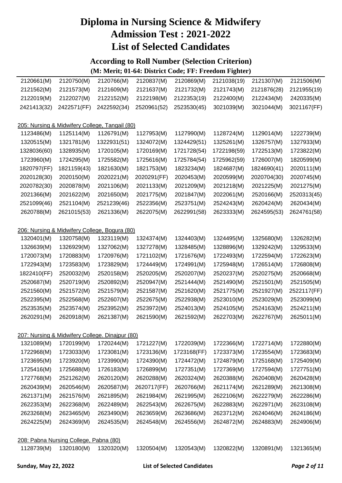### **According to Roll Number (Selection Criterion)**

| 2120661(M)  | 2120750(M)                                      | 2120766(M)  | 2120837(M)  | 2120869(M)  | 2121038(19) | 2121307(M)  | 2121506(M)  |
|-------------|-------------------------------------------------|-------------|-------------|-------------|-------------|-------------|-------------|
| 2121562(M)  | 2121573(M)                                      | 2121609(M)  | 2121637(M)  | 2121732(M)  | 2121743(M)  | 2121876(28) | 2121955(19) |
| 2122019(M)  | 2122027(M)                                      | 2122152(M)  | 2122198(M)  | 2122353(19) | 2122400(M)  | 2122434(M)  | 2420335(M)  |
| 2421413(32) | 2422571(FF)                                     | 2422592(34) | 2520961(52) | 2523530(45) | 3021039(M)  | 3021044(M)  | 3021167(FF) |
|             |                                                 |             |             |             |             |             |             |
|             | 205: Nursing & Midwifery College, Tangail (80)  |             |             |             |             |             |             |
| 1123486(M)  | 1125114(M)                                      | 1126791(M)  | 1127953(M)  | 1127990(M)  | 1128724(M)  | 1129014(M)  | 1222739(M)  |
| 1320515(M)  | 1321781(M)                                      | 1322931(51) | 1324072(M)  | 1324429(51) | 1325261(M)  | 1326757(M)  | 1327933(M)  |
| 1328036(60) | 1328935(M)                                      | 1720105(M)  | 1720169(M)  | 1721728(54) | 1722198(59) | 1722513(M)  | 1723822(M)  |
| 1723960(M)  | 1724295(M)                                      | 1725582(M)  | 1725616(M)  | 1725784(54) | 1725962(59) | 1726007(M)  | 1820599(M)  |
| 1820797(FF) | 1821159(43)                                     | 1821630(M)  | 1821753(M)  | 1823234(M)  | 1824687(M)  | 1824690(41) | 2020111(M)  |
| 2020128(30) | 2020150(M)                                      | 2020221(M)  | 2020291(FF) | 2020453(M)  | 2020599(M)  | 2020704(30) | 2020745(M)  |
| 2020782(30) | 2020878(M)                                      | 2021106(M)  | 2021133(M)  | 2021209(M)  | 2021218(M)  | 2021225(M)  | 2021275(M)  |
| 2021366(M)  | 2021622(M)                                      | 2021650(M)  | 2021775(M)  | 2021847(M)  | 2022061(M)  | 2520166(M)  | 2520313(45) |
| 2521099(46) | 2521104(M)                                      | 2521239(46) | 2522356(M)  | 2523751(M)  | 2524243(M)  | 2620424(M)  | 2620434(M)  |
| 2620788(M)  | 2621015(53)                                     | 2621336(M)  | 2622075(M)  | 2622991(58) | 2623333(M)  | 2624595(53) | 2624761(58) |
|             |                                                 |             |             |             |             |             |             |
|             | 206: Nursing & Midwifery College, Bogura (80)   |             |             |             |             |             |             |
| 1320401(M)  | 1320758(M)                                      | 1323119(M)  | 1324374(M)  | 1324403(M)  | 1324495(M)  | 1325680(M)  | 1326282(M)  |
| 1326639(M)  | 1326929(M)                                      | 1327062(M)  | 1327278(M)  | 1328485(M)  | 1328896(M)  | 1329242(M)  | 1329533(M)  |
| 1720073(M)  | 1720883(M)                                      | 1720976(M)  | 1721102(M)  | 1721676(M)  | 1722493(M)  | 1722594(M)  | 1722623(M)  |
| 1722943(M)  | 1723583(M)                                      | 1723829(M)  | 1724449(M)  | 1724991(M)  | 1725948(M)  | 1726514(M)  | 1726808(M)  |
| 1822410(FF) | 2520032(M)                                      | 2520158(M)  | 2520205(M)  | 2520207(M)  | 2520237(M)  | 2520275(M)  | 2520668(M)  |
| 2520687(M)  | 2520719(M)                                      | 2520892(M)  | 2520947(M)  | 2521444(M)  | 2521490(M)  | 2521501(M)  | 2521505(M)  |
| 2521560(M)  | 2521572(M)                                      | 2521579(M)  | 2521587(M)  | 2521620(M)  | 2521775(M)  | 2521927(M)  | 2522117(FF) |
| 2522395(M)  | 2522568(M)                                      | 2522607(M)  | 2522675(M)  | 2522938(M)  | 2523010(M)  | 2523029(M)  | 2523099(M)  |
| 2523535(M)  | 2523574(M)                                      | 2523952(M)  | 2523972(M)  | 2524013(M)  | 2524105(M)  | 2524163(M)  | 2524211(M)  |
| 2620291(M)  | 2620918(M)                                      | 2621387(M)  | 2621590(M)  | 2621592(M)  | 2622703(M)  | 2622767(M)  | 2625011(M)  |
|             |                                                 |             |             |             |             |             |             |
|             | 207: Nursing & Midwifery College. Dinajpur (80) |             |             |             |             |             |             |
| 1321089(M)  | 1720199(M)                                      | 1720244(M)  | 1721227(M)  | 1722039(M)  | 1722366(M)  | 1722714(M)  | 1722880(M)  |
| 1722968(M)  | 1723033(M)                                      | 1723081(M)  | 1723136(M)  | 1723168(FF) | 1723373(M)  | 1723554(M)  | 1723683(M)  |
| 1723695(M)  | 1723920(M)                                      | 1723990(M)  | 1724390(M)  | 1724472(M)  | 1724879(M)  | 1725168(M)  | 1725409(M)  |
| 1725416(M)  | 1725688(M)                                      | 1726183(M)  | 1726899(M)  | 1727351(M)  | 1727369(M)  | 1727594(M)  | 1727751(M)  |
| 1727768(M)  | 2521262(M)                                      | 2620120(M)  | 2620288(M)  | 2620324(M)  | 2620388(M)  | 2620408(M)  | 2620428(M)  |
| 2620439(M)  | 2620546(M)                                      | 2620587(M)  | 2620717(FF) | 2620766(M)  | 2621174(M)  | 2621289(M)  | 2621308(M)  |
| 2621371(M)  | 2621576(M)                                      | 2621895(M)  | 2621984(M)  | 2621995(M)  | 2622106(M)  | 2622279(M)  | 2622286(M)  |
| 2622353(M)  | 2622368(M)                                      | 2622489(M)  | 2622543(M)  | 2622675(M)  | 2622883(M)  | 2622971(M)  | 2623108(M)  |
| 2623268(M)  | 2623465(M)                                      | 2623490(M)  | 2623659(M)  | 2623686(M)  | 2623712(M)  | 2624046(M)  | 2624186(M)  |
| 2624225(M)  | 2624369(M)                                      | 2624535(M)  | 2624548(M)  | 2624556(M)  | 2624872(M)  | 2624883(M)  | 2624906(M)  |
|             |                                                 |             |             |             |             |             |             |
|             | 208: Pabna Nursing College, Pabna (80)          |             |             |             |             |             |             |
| 1128739(M)  | 1320180(M)                                      | 1320320(M)  | 1320504(M)  | 1320543(M)  | 1320822(M)  | 1320891(M)  | 1321365(M)  |
|             |                                                 |             |             |             |             |             |             |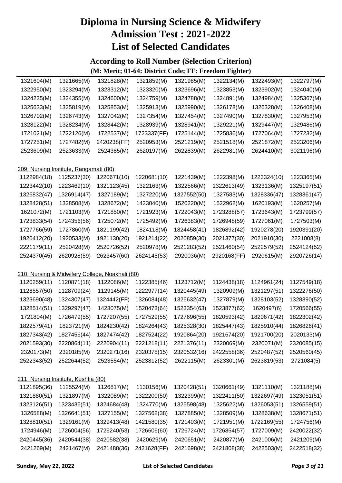### **According to Roll Number (Selection Criterion)**

| 1321604(M)  | 1321665(M)                             | 1321828(M)                                      | 1321859(M)  | 1321985(M)  | 1322134(M)  | 1322493(M)  | 1322797(M)  |
|-------------|----------------------------------------|-------------------------------------------------|-------------|-------------|-------------|-------------|-------------|
| 1322950(M)  | 1323294(M)                             | 1323312(M)                                      | 1323320(M)  | 1323696(M)  | 1323853(M)  | 1323902(M)  | 1324040(M)  |
| 1324235(M)  | 1324355(M)                             | 1324600(M)                                      | 1324759(M)  | 1324788(M)  | 1324891(M)  | 1324984(M)  | 1325367(M)  |
| 1325633(M)  | 1325819(M)                             | 1325853(M)                                      | 1325913(M)  | 1325990(M)  | 1326178(M)  | 1326328(M)  | 1326408(M)  |
| 1326702(M)  | 1326743(M)                             | 1327042(M)                                      | 1327354(M)  | 1327454(M)  | 1327490(M)  | 1327830(M)  | 1327953(M)  |
| 1328122(M)  | 1328234(M)                             | 1328442(M)                                      | 1328939(M)  | 1328941(M)  | 1329221(M)  | 1329447(M)  | 1329486(M)  |
| 1721021(M)  | 1722126(M)                             | 1722537(M)                                      | 1723337(FF) | 1725144(M)  | 1725836(M)  | 1727064(M)  | 1727232(M)  |
| 1727251(M)  | 1727482(M)                             | 2420238(FF)                                     | 2520953(M)  | 2521219(M)  | 2521518(M)  | 2521872(M)  | 2523206(M)  |
| 2523609(M)  | 2523633(M)                             | 2524385(M)                                      | 2620197(M)  | 2622839(M)  | 2622981(M)  | 2624410(M)  | 3021196(M)  |
|             | 209: Nursing Institute, Rangamati (80) |                                                 |             |             |             |             |             |
| 1122984(18) | 1125237(30)                            | 1220671(10)                                     | 1220681(10) | 1221439(M)  | 1222398(M)  | 1223324(10) | 1223365(M)  |
| 1223442(10) | 1223469(10)                            | 1321123(45)                                     | 1322163(M)  | 1322566(M)  | 1322613(49) | 1323136(M)  | 1325197(51) |
| 1326832(47) | 1326914(47)                            | 1327189(M)                                      | 1327220(M)  | 1327552(50) | 1327583(M)  | 1328336(47) | 1328361(47) |
| 1328428(51) | 1328508(M)                             | 1328672(M)                                      | 1423040(M)  | 1520220(M)  | 1522962(M)  | 1620193(M)  | 1620257(M)  |
| 1621072(M)  | 1721103(M)                             | 1721850(M)                                      | 1721923(M)  | 1722043(M)  | 1723288(57) | 1723643(M)  | 1723799(57) |
| 1723833(54) | 1724356(56)                            | 1725072(M)                                      | 1725492(M)  | 1726383(M)  | 1726948(59) | 1727061(M)  | 1727503(M)  |
| 1727766(59) | 1727860(M)                             | 1821199(42)                                     | 1824118(M)  | 1824458(41) | 1826892(42) | 1920278(20) | 1920391(20) |
| 1920412(20) | 1920533(M)                             | 1921130(20)                                     | 1921214(22) | 2020859(30) | 2021377(30) | 2021910(30) | 2221008(8)  |
| 2221179(11) | 2520428(M)                             | 2520726(52)                                     | 2520978(M)  | 2521283(52) | 2521460(54) | 2522579(52) | 2524124(52) |
| 2524370(45) | 2620928(59)                            | 2623457(60)                                     | 2624145(53) | 2920036(M)  | 2920168(FF) | 2920615(M)  | 2920726(14) |
|             |                                        | 210: Nursing & Midwifery College, Noakhali (80) |             |             |             |             |             |
| 1120259(11) | 1120871(18)                            | 1122086(M)                                      | 1122385(46) | 1123712(M)  | 1124438(18) | 1124961(24) | 1127549(18) |
| 1128557(50) | 1128709(24)                            | 1129145(M)                                      | 1222977(14) | 1320445(49) | 1320909(M)  | 1321297(51) | 1322276(50) |
| 1323690(48) | 1324307(47)                            | 1324442(FF)                                     | 1326084(48) | 1326632(47) | 1327879(M)  | 1328103(52) | 1328390(52) |
| 1328514(51) | 1329297(47)                            | 1423075(M)                                      | 1520473(64) | 1523354(63) | 1523877(62) | 1620497(6)  | 1720566(55) |
| 1721804(M)  | 1726479(55)                            | 1727207(55)                                     | 1727529(55) | 1727696(55) | 1820593(42) | 1820671(42) | 1822302(42) |
| 1822579(41) | 1823721(M)                             | 1824230(42)                                     | 1824264(43) | 1825328(30) | 1825447(43) | 1825910(44) | 1826826(41) |
| 1827343(42) | 1827456(44)                            | 1827474(42)                                     | 1827524(22) | 1920864(20) | 1921674(20) | 1921700(20) | 2020133(M)  |
| 2021593(30) | 2220864(11)                            | 2220904(11)                                     | 2221218(11) | 2221376(11) | 2320069(M)  | 2320071(M)  | 2320085(15) |
| 2320173(M)  | 2320185(M)                             | 2320271(16)                                     | 2320378(15) | 2320532(16) | 2422558(36) | 2520487(52) | 2520560(45) |
| 2522343(52) | 2522644(52)                            | 2523554(M)                                      | 2523812(52) | 2622115(M)  | 2623301(M)  | 2623819(53) | 2721084(5)  |
|             | 211: Nursing Institute, Kushtia (80)   |                                                 |             |             |             |             |             |
| 1121895(36) | 1125524(M)                             | 1126817(M)                                      | 1130156(M)  | 1320428(51) | 1320661(49) | 1321110(M)  | 1321188(M)  |
| 1321880(51) | 1321897(M)                             | 1322089(M)                                      | 1322200(50) | 1322399(M)  | 1322411(50) | 1322697(49) | 1323051(51) |
| 1323126(51) | 1323436(51)                            | 1324684(48)                                     | 1324770(M)  | 1325598(48) | 1325622(M)  | 1326053(51) | 1326559(51) |
| 1326588(M)  | 1326641(51)                            | 1327155(M)                                      | 1327562(38) | 1327885(M)  | 1328509(M)  | 1328638(M)  | 1328671(51) |
| 1328810(51) | 1329161(M)                             | 1329413(48)                                     | 1421580(35) | 1721403(M)  | 1721951(M)  | 1722169(55) | 1724756(M)  |
| 1724946(M)  | 1726004(56)                            | 1726240(53)                                     | 1726606(60) | 1726724(M)  | 1726854(57) | 1727009(M)  | 2420022(32) |
| 2420445(36) | 2420544(38)                            | 2420582(38)                                     | 2420629(M)  | 2420651(M)  | 2420877(M)  | 2421006(M)  | 2421209(M)  |
| 2421269(M)  | 2421467(M)                             | 2421488(36)                                     | 2421628(FF) | 2421698(M)  | 2421808(38) | 2422503(M)  | 2422518(32) |
|             |                                        |                                                 |             |             |             |             |             |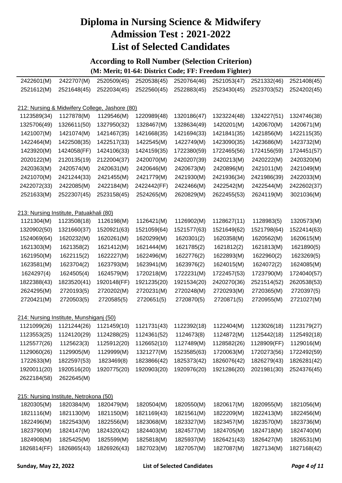### **According to Roll Number (Selection Criterion)**

| 2422601(M)  | 2422707(M)                                     | 2520509(45) | 2520538(45) | 2520764(46) | 2521053(47) | 2521332(46) | 2521408(45)             |
|-------------|------------------------------------------------|-------------|-------------|-------------|-------------|-------------|-------------------------|
| 2521612(M)  | 2521648(45)                                    | 2522034(45) | 2522560(45) | 2522883(45) | 2523430(45) | 2523703(52) | 2524202(45)             |
|             |                                                |             |             |             |             |             |                         |
|             | 212: Nursing & Midwifery College, Jashore (80) |             |             |             |             |             |                         |
| 1123589(34) | 1127878(M)                                     | 1129546(M)  | 1220989(48) | 1320186(47) | 1323224(48) | 1324227(51) | 1324746(38)             |
| 1325706(49) | 1326611(50)                                    | 1327950(32) | 1328467(M)  | 1328634(49) | 1420201(M)  | 1420670(M)  | 1420671(M)              |
| 1421007(M)  | 1421074(M)                                     | 1421467(35) | 1421668(35) | 1421694(33) | 1421841(35) | 1421856(M)  | 1422115(35)             |
| 1422464(M)  | 1422508(35)                                    | 1422517(33) | 1422545(M)  | 1422749(M)  | 1423090(35) | 1423686(M)  | 1423732(M)              |
| 1423920(M)  | 1424058(FF)                                    | 1424106(33) | 1424159(35) | 1722380(59) | 1722465(56) | 1724156(59) | 1724451(57)             |
| 2020122(M)  | 2120135(19)                                    | 2122004(37) | 2420070(M)  | 2420207(39) | 2420213(M)  | 2420222(M)  | 2420320(M)              |
| 2420363(M)  | 2420574(M)                                     | 2420631(M)  | 2420646(M)  | 2420673(M)  | 2420896(M)  | 2421011(M)  | 2421049(M)              |
| 2421070(M)  | 2421244(33)                                    | 2421455(M)  | 2421779(M)  | 2421930(M)  | 2421936(34) | 2421986(39) | 2422033(M)              |
| 2422072(33) | 2422085(M)                                     | 2422184(M)  | 2422442(FF) | 2422466(M)  | 2422542(M)  | 2422544(M)  | 2422602(37)             |
| 2521633(M)  | 2522307(45)                                    | 2523158(45) | 2524265(M)  | 2620829(M)  | 2622455(53) | 2624119(M)  | 3021036(M)              |
|             |                                                |             |             |             |             |             |                         |
|             | 213: Nursing Institute, Patuakhali (80)        |             |             |             |             |             |                         |
| 1121304(M)  | 1123508(18)                                    | 1126198(M)  | 1126421(M)  | 1126902(M)  | 1128627(11) | 1128983(5)  | 1320573(M)              |
| 1320902(50) | 1321660(37)                                    | 1520921(63) | 1521059(64) | 1521577(63) | 1521649(62) | 1521798(64) | 1522414(63)             |
| 1524069(64) | 1620232(M)                                     | 1620261(M)  | 1620299(M)  | 1620301(2)  | 1620358(M)  | 1620562(M)  | 1620615(M)              |
| 1621303(M)  | 1621358(2)                                     | 1621412(M)  | 1621444(M)  | 1621785(2)  | 1621812(2)  | 1621813(M)  | 1621890(5)              |
| 1621950(M)  | 1622115(2)                                     | 1622227(M)  | 1622496(M)  | 1622776(2)  | 1622893(M)  | 1622960(2)  | 1623269(5)              |
| 1623581(M)  | 1623704(2)                                     | 1623793(M)  | 1623941(M)  | 1623976(2)  | 1624015(M)  | 1624072(2)  | 1624085(M)              |
| 1624297(4)  | 1624505(4)                                     | 1624579(M)  | 1720218(M)  | 1722231(M)  | 1722457(53) | 1723790(M)  | 1724040(57)             |
| 1822388(43) | 1823520(41)                                    | 1920148(FF) | 1921235(20) | 1921534(20) | 2420270(36) | 2521514(52) | 2620538(53)             |
| 2624295(M)  | 2720193(5)                                     | 2720202(M)  | 2720231(M)  | 2720248(M)  | 2720293(M)  | 2720365(M)  | 2720397(5)              |
| 2720421(M)  | 2720503(5)                                     | 2720585(5)  | 2720651(5)  | 2720870(5)  | 2720871(5)  | 2720955(M)  | 2721027(M)              |
|             |                                                |             |             |             |             |             |                         |
|             | 214: Nursing Institute, Munshiganj (50)        |             |             |             |             |             |                         |
| 1121099(26) | 1121244(26)                                    | 1121459(10) | 1121731(43) | 1122392(18) | 1122404(M)  | 1123026(18) | 1123179(27)             |
|             | 1123553(25) 1124120(29) 1124288(25)            |             | 1124361(52) | 1124673(8)  | 1124872(M)  |             | 1125442(18) 1125492(18) |
| 1125577(26) | 1125623(3)                                     | 1125912(20) | 1126652(10) | 1127489(M)  | 1128582(26) | 1128909(FF) | 1129016(M)              |
| 1129060(26) | 1129905(M)                                     | 1129999(M)  | 1321277(M)  | 1523585(63) | 1720063(M)  | 1720273(56) | 1722492(59)             |
| 1722633(M)  | 1822597(53)                                    | 1823469(8)  | 1823866(42) | 1825373(42) | 1826076(42) | 1826279(43) | 1826281(42)             |
| 1920011(20) | 1920516(20)                                    | 1920775(20) | 1920903(20) | 1920976(20) | 1921286(20) | 2021981(30) | 2524376(45)             |
| 2622184(58) | 2622645(M)                                     |             |             |             |             |             |                         |
|             |                                                |             |             |             |             |             |                         |
|             | 215: Nursing Institute, Netrokona (50)         |             |             |             |             |             |                         |
| 1820305(M)  | 1820384(M)                                     | 1820479(M)  | 1820504(M)  | 1820550(M)  | 1820617(M)  | 1820955(M)  | 1821056(M)              |
| 1821116(M)  | 1821130(M)                                     | 1821150(M)  | 1821169(43) | 1821561(M)  | 1822209(M)  | 1822413(M)  | 1822456(M)              |
| 1822496(M)  | 1822543(M)                                     | 1822556(M)  | 1823068(M)  | 1823327(M)  | 1823457(M)  | 1823570(M)  | 1823736(M)              |
| 1823790(M)  | 1824147(M)                                     | 1824320(42) | 1824403(M)  | 1824577(M)  | 1824705(M)  | 1824718(M)  | 1824740(M)              |
| 1824908(M)  | 1825425(M)                                     | 1825599(M)  | 1825818(M)  | 1825937(M)  | 1826421(43) | 1826427(M)  | 1826531(M)              |
| 1826814(FF) | 1826865(43)                                    | 1826926(43) | 1827023(M)  | 1827057(M)  | 1827087(M)  | 1827134(M)  | 1827168(42)             |
|             |                                                |             |             |             |             |             |                         |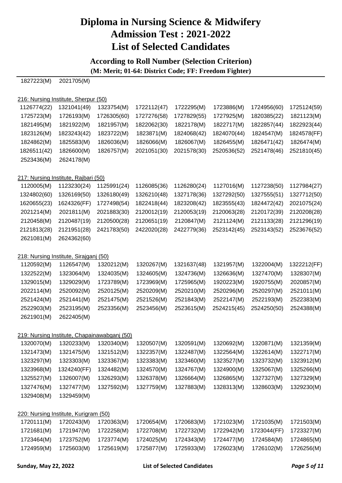### **According to Roll Number (Selection Criterion)**

**(M: Merit; 01-64: District Code; FF: Freedom Fighter)**

1827223(M) 2021705(M)

#### 216: Nursing Institute, Sherpur (50)

| 1126774(22) | 1321041(49)                            | 1323754(M)  | 1722112(47) | 1722295(M)  | 1723886(M)  | 1724956(60) | 1725124(59) |
|-------------|----------------------------------------|-------------|-------------|-------------|-------------|-------------|-------------|
| 1725723(M)  | 1726193(M)                             | 1726305(60) | 1727276(58) | 1727829(55) | 1727925(M)  | 1820385(22) | 1821123(M)  |
| 1821495(M)  | 1821922(M)                             | 1821957(M)  | 1822062(30) | 1822178(M)  | 1822717(M)  | 1822857(44) | 1822923(44) |
| 1823126(M)  | 1823243(42)                            | 1823722(M)  | 1823871(M)  | 1824068(42) | 1824070(44) | 1824547(M)  | 1824578(FF) |
| 1824862(M)  | 1825583(M)                             | 1826036(M)  | 1826066(M)  | 1826067(M)  | 1826455(M)  | 1826471(42) | 1826474(M)  |
| 1826511(42) | 1826600(M)                             | 1826757(M)  | 2021051(30) | 2021578(30) | 2520536(52) | 2521478(46) | 2521810(45) |
| 2523436(M)  | 2624178(M)                             |             |             |             |             |             |             |
|             | 217: Nursing Institute, Rajbari (50)   |             |             |             |             |             |             |
| 1120005(M)  | 1123230(24)                            | 1125991(24) | 1126085(36) | 1126280(24) | 1127016(M)  | 1127238(50) | 1127984(27) |
| 1324802(60) | 1326169(50)                            | 1326180(49) | 1326210(48) | 1327178(36) | 1327292(50) | 1327555(51) | 1327712(50) |
| 1620655(23) | 1624326(FF)                            | 1727498(54) | 1822418(44) | 1823208(42) | 1823555(43) | 1824472(42) | 2021075(24) |
| 2021214(M)  | 2021811(M)                             | 2021883(30) | 2120012(19) | 2120053(19) | 2120063(28) | 2120172(39) | 2120208(28) |
| 2120458(M)  | 2120487(19)                            | 2120500(28) | 2120651(19) | 2120847(M)  | 2121124(M)  | 2121133(28) | 2121296(19) |
| 2121813(28) | 2121951(28)                            | 2421783(50) | 2422020(28) | 2422779(36) | 2523142(45) | 2523143(52) | 2523676(52) |
| 2621081(M)  | 2624362(60)                            |             |             |             |             |             |             |
|             | 218: Nursing Institute, Sirajganj (50) |             |             |             |             |             |             |
| 1120592(M)  | 1126547(M)                             | 1320212(M)  | 1320267(M)  | 1321637(48) | 1321957(M)  | 1322004(M)  | 1322212(FF) |
| 1322522(M)  | 1323064(M)                             | 1324035(M)  | 1324605(M)  | 1324736(M)  | 1326636(M)  | 1327470(M)  | 1328307(M)  |
| 1329015(M)  | 1329029(M)                             | 1723789(M)  | 1723969(M)  | 1725965(M)  | 1920223(M)  | 1920755(M)  | 2020857(M)  |
| 2022114(M)  | 2520092(M)                             | 2520125(M)  | 2520209(M)  | 2520210(M)  | 2520296(M)  | 2520297(M)  | 2521011(M)  |
| 2521424(M)  | 2521441(M)                             | 2521475(M)  | 2521526(M)  | 2521843(M)  | 2522147(M)  | 2522193(M)  | 2522383(M)  |
| 2522903(M)  | 2523195(M)                             | 2523356(M)  | 2523456(M)  | 2523615(M)  | 2524215(45) | 2524250(50) | 2524388(M)  |
| 2621901(M)  | 2622405(M)                             |             |             |             |             |             |             |

#### 219: Nursing Institute, Chapainawabganj (50)

| 1320070(M) | 1320233(M)  | 1320340(M) | 1320507(M) | 1320591(M) | 1320692(M) | 1320871(M) | 1321359(M) |
|------------|-------------|------------|------------|------------|------------|------------|------------|
| 1321473(M) | 1321475(M)  | 1321512(M) | 1322357(M) | 1322487(M) | 1322564(M) | 1322614(M) | 1322717(M) |
| 1323297(M) | 1323303(M)  | 1323367(M) | 1323383(M) | 1323460(M) | 1323527(M) | 1323732(M) | 1323912(M) |
| 1323968(M) | 1324240(FF) | 1324482(M) | 1324570(M) | 1324767(M) | 1324900(M) | 1325067(M) | 1325266(M) |
| 1325527(M) | 1326007(M)  | 1326293(M) | 1326378(M) | 1326664(M) | 1326865(M) | 1327327(M) | 1327329(M) |
| 1327476(M) | 1327477(M)  | 1327592(M) | 1327759(M) | 1327883(M) | 1328313(M) | 1328603(M) | 1329230(M) |
| 1329408(M) | 1329459(M)  |            |            |            |            |            |            |

#### 220: Nursing Institute, Kurigram (50)

|  |  |  | 1720111(M) 1720243(M) 1720363(M) 1720654(M) 1720683(M) 1721023(M) 1721035(M) 1721503(M)  |  |
|--|--|--|------------------------------------------------------------------------------------------|--|
|  |  |  | 1721681(M) 1721947(M) 1722258(M) 1722708(M) 1722732(M) 1722942(M) 1723044(FF) 1723327(M) |  |
|  |  |  | 1723464(M) 1723752(M) 1723774(M) 1724025(M) 1724343(M) 1724477(M) 1724584(M) 1724865(M)  |  |
|  |  |  | 1724959(M) 1725603(M) 1725619(M) 1725877(M) 1725933(M) 1726023(M) 1726102(M) 1726256(M)  |  |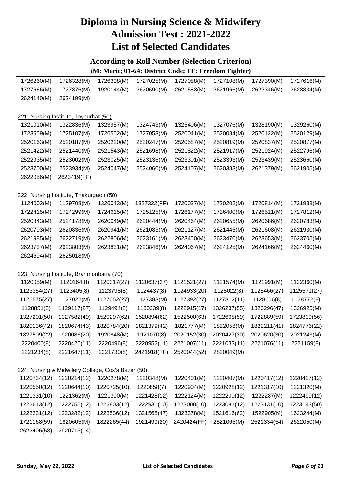### **According to Roll Number (Selection Criterion)**

| 1726260(M)  | 1726328(M)                                         | 1726398(M)  | 1727025(M)  | 1727088(M)  | 1727108(M)  | 1727390(M)  | 1727616(M)  |
|-------------|----------------------------------------------------|-------------|-------------|-------------|-------------|-------------|-------------|
| 1727666(M)  | 1727876(M)                                         | 1920144(M)  | 2620590(M)  | 2621583(M)  | 2621966(M)  | 2622346(M)  | 2623334(M)  |
| 2624140(M)  | 2624199(M)                                         |             |             |             |             |             |             |
|             |                                                    |             |             |             |             |             |             |
|             | 221: Nursing Institute, Joypurhat (50)             |             |             |             |             |             |             |
| 1321010(M)  | 1322836(M)                                         | 1323957(M)  | 1324743(M)  | 1325406(M)  | 1327076(M)  | 1328190(M)  | 1329260(M)  |
| 1723559(M)  | 1725107(M)                                         | 1726552(M)  | 1727053(M)  | 2520041(M)  | 2520084(M)  | 2520122(M)  | 2520129(M)  |
| 2520163(M)  | 2520187(M)                                         | 2520220(M)  | 2520247(M)  | 2520587(M)  | 2520819(M)  | 2520837(M)  | 2520877(M)  |
| 2521422(M)  | 2521440(M)                                         | 2521543(M)  | 2521698(M)  | 2521822(M)  | 2521917(M)  | 2521924(M)  | 2522796(M)  |
| 2522935(M)  | 2523002(M)                                         | 2523025(M)  | 2523136(M)  | 2523301(M)  | 2523393(M)  | 2523439(M)  | 2523660(M)  |
| 2523700(M)  | 2523934(M)                                         | 2524047(M)  | 2524060(M)  | 2524107(M)  | 2620383(M)  | 2621379(M)  | 2621905(M)  |
| 2622056(M)  | 2623419(FF)                                        |             |             |             |             |             |             |
|             | 222: Nursing Institute, Thakurgaon (50)            |             |             |             |             |             |             |
| 1124002(M)  | 1129708(M)                                         | 1326043(M)  | 1327322(FF) | 1720037(M)  | 1720202(M)  | 1720814(M)  | 1721938(M)  |
| 1722415(M)  | 1724299(M)                                         | 1724615(M)  | 1725125(M)  | 1726177(M)  | 1726400(M)  | 1726511(M)  | 1727812(M)  |
| 2520843(M)  | 2524178(M)                                         | 2620049(M)  | 2620444(M)  | 2620464(M)  | 2620655(M)  | 2620686(M)  | 2620783(M)  |
| 2620793(M)  | 2620836(M)                                         | 2620941(M)  | 2621083(M)  | 2621127(M)  | 2621445(M)  | 2621608(M)  | 2621930(M)  |
| 2621985(M)  | 2622719(M)                                         | 2622806(M)  | 2623161(M)  | 2623450(M)  | 2623470(M)  | 2623653(M)  | 2623705(M)  |
| 2623737(M)  | 2623803(M)                                         | 2623831(M)  | 2623846(M)  | 2624067(M)  | 2624125(M)  | 2624166(M)  | 2624460(M)  |
| 2624694(M)  | 2625018(M)                                         |             |             |             |             |             |             |
|             |                                                    |             |             |             |             |             |             |
|             | 223: Nursing Institute, Brahmonbaria (70)          |             |             |             |             |             |             |
| 1120059(M)  | 1120164(8)                                         | 1120317(27) | 1120637(27) | 1121521(27) | 1121574(M)  | 1121991(M)  | 1122360(M)  |
| 1123354(27) | 1123405(8)                                         | 1123798(8)  | 1124437(8)  | 1124933(20) | 1125022(8)  | 1125466(27) | 1125571(27) |
| 1125575(27) | 1127022(M)                                         | 1127052(27) | 1127383(M)  | 1127392(27) | 1127812(11) | 1128606(8)  | 1128772(8)  |
| 1128851(8)  | 1129117(27)                                        | 1129494(8)  | 1130239(8)  | 1222915(17) | 1326237(55) | 1326296(47) | 1326925(M)  |
| 1327201(50) | 1327582(49)                                        | 1520297(62) | 1520894(62) | 1522500(63) | 1722608(59) | 1722889(59) | 1723809(56) |
| 1820136(42) | 1820674(43)                                        | 1820784(20) | 1821379(42) | 1821777(M)  | 1822058(M)  | 1822211(41) | 1824776(22) |
| 1827509(22) | 1920086(20)                                        | 1920848(M)  | 1921070(8)  | 2020152(30) | 2020427(30) | 2020620(30) | 2021243(M)  |
| 2220400(8)  | 2220426(11)                                        | 2220496(8)  | 2220952(11) | 2221007(11) | 2221033(11) | 2221076(11) | 2221159(8)  |
| 2221234(8)  | 2221647(11)                                        | 2221730(8)  | 2421918(FF) | 2520044(52) | 2820049(M)  |             |             |
|             | 224: Nursing & Midwifery College, Cox's Bazar (50) |             |             |             |             |             |             |
| 1120734(12) | 1220214(12)                                        | 1220278(M)  | 1220348(M)  | 1220401(M)  | 1220407(M)  | 1220417(12) | 1220427(12) |
| 1220550(12) | 1220644(10)                                        | 1220725(10) | 1220858(7)  | 1220904(M)  | 1220928(12) | 1221317(10) | 1221320(M)  |
| 1221331(10) | 1221362(M)                                         | 1221390(M)  | 1221428(12) | 1222124(M)  | 1222200(12) | 1222287(M)  | 1222499(12) |
| 1222613(12) | 1222755(12)                                        | 1222803(12) | 1222931(10) | 1223008(10) | 1223081(12) | 1223131(10) | 1223143(50) |
| 1223231(12) | 1223282(12)                                        | 1223536(12) | 1321565(47) | 1323378(M)  | 1521616(62) | 1522905(M)  | 1623244(M)  |
| 1721168(59) | 1820605(M)                                         | 1822265(44) | 1921499(20) | 2420424(FF) | 2521065(M)  | 2521334(54) | 2622050(M)  |
| 2622406(53) | 2920713(14)                                        |             |             |             |             |             |             |
|             |                                                    |             |             |             |             |             |             |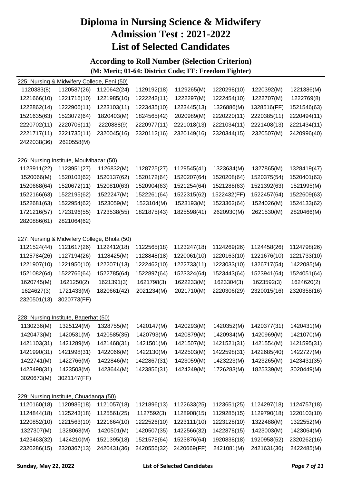### **According to Roll Number (Selection Criterion) (M: Merit; 01-64: District Code; FF: Freedom Fighter)**

|             | 225: Nursing & Midwifery College, Feni (50)  |             |             |             |             |             |             |
|-------------|----------------------------------------------|-------------|-------------|-------------|-------------|-------------|-------------|
| 1120383(8)  | 1120587(26)                                  | 1120642(24) | 1129192(18) | 1129265(M)  | 1220298(10) | 1220392(M)  | 1221386(M)  |
| 1221666(10) | 1221716(10)                                  | 1221985(10) | 1222242(11) | 1222297(M)  | 1222454(10) | 1222707(M)  | 1222769(8)  |
| 1222862(14) | 1222906(11)                                  | 1223103(11) | 1223435(10) | 1223445(13) | 1326886(M)  | 1328516(FF) | 1521546(63) |
| 1521635(63) | 1523072(64)                                  | 1820403(M)  | 1824565(42) | 2020989(M)  | 2220220(11) | 2220385(11) | 2220494(11) |
| 2220702(11) | 2220706(11)                                  | 2220888(9)  | 2220977(11) | 2221018(13) | 2221034(11) | 2221408(13) | 2221434(11) |
| 2221717(11) | 2221735(11)                                  | 2320045(16) | 2320112(16) | 2320149(16) | 2320344(15) | 2320507(M)  | 2420996(40) |
| 2422038(36) | 2620558(M)                                   |             |             |             |             |             |             |
|             | 226: Nursing Institute, Moulvibazar (50)     |             |             |             |             |             |             |
| 1123911(22) | 1123951(27)                                  | 1126832(M)  | 1128725(27) | 1129545(41) | 1323634(M)  | 1327865(M)  | 1328419(47) |
| 1520066(M)  | 1520103(62)                                  | 1520137(62) | 1520172(64) | 1520207(64) | 1520208(64) | 1520375(54) | 1520401(63) |
| 1520668(64) | 1520672(11)                                  | 1520810(63) | 1520904(63) | 1521254(64) | 1521288(63) | 1521392(63) | 1521995(M)  |
| 1522166(63) | 1522195(62)                                  | 1522247(M)  | 1522261(64) | 1522315(62) | 1522432(FF) | 1522457(64) | 1522609(63) |
| 1522681(63) | 1522954(62)                                  | 1523059(M)  | 1523104(M)  | 1523193(M)  | 1523362(64) | 1524026(M)  | 1524133(62) |
| 1721216(57) | 1723196(55)                                  | 1723538(55) | 1821875(43) | 1825598(41) | 2620930(M)  | 2621530(M)  | 2820466(M)  |
| 2820886(61) | 2821064(62)                                  |             |             |             |             |             |             |
|             | 227: Nursing & Midwifery College, Bhola (50) |             |             |             |             |             |             |
| 1121524(44) | 1121617(26)                                  | 1122412(18) | 1122565(18) | 1123247(18) | 1124269(26) | 1124458(26) | 1124798(26) |
| 1125784(26) | 1127194(26)                                  | 1128425(M)  | 1128848(18) | 1220061(10) | 1220163(10) | 1221676(10) | 1221733(10) |
| 1221907(10) | 1221950(10)                                  | 1222071(13) | 1222462(10) | 1222733(11) | 1223033(10) | 1326717(54) | 1422085(M)  |
| 1521082(64) | 1522766(64)                                  | 1522785(64) | 1522897(64) | 1523324(64) | 1523443(64) | 1523941(64) | 1524051(64) |
| 1620745(M)  | 1621250(2)                                   | 1621391(3)  | 1621798(3)  | 1622233(M)  | 1623304(3)  | 1623592(3)  | 1624620(2)  |
| 1624627(3)  | 1721433(M)                                   | 1820661(42) | 2021234(M)  | 2021710(M)  | 2220306(29) | 2320015(16) | 2320358(16) |
| 2320501(13) | 3020773(FF)                                  |             |             |             |             |             |             |
|             | 228: Nursing Institute, Bagerhat (50)        |             |             |             |             |             |             |
| 1130236(M)  | 1325124(M)                                   | 1328755(M)  | 1420147(M)  | 1420293(M)  | 1420352(M)  | 1420377(31) | 1420431(M)  |
| 1420473(M)  | 1420531(M)                                   | 1420585(35) | 1420793(M)  | 1420879(M)  | 1420934(M)  | 1420969(M)  | 1421070(M)  |
| 1421103(31) | 1421289(M)                                   | 1421468(31) | 1421501(M)  | 1421507(M)  | 1421521(31) | 1421554(M)  | 1421595(31) |
| 1421990(31) | 1421998(31)                                  | 1422066(M)  | 1422130(M)  | 1422503(M)  | 1422598(31) | 1422685(40) | 1422727(M)  |
| 1422741(M)  | 1422766(M)                                   | 1422846(M)  | 1422867(31) | 1423059(M)  | 1423223(M)  | 1423265(M)  | 1423431(35) |
| 1423498(31) | 1423503(M)                                   | 1423644(M)  | 1423856(31) | 1424249(M)  | 1726283(M)  | 1825339(M)  | 3020449(M)  |
| 3020673(M)  | 3021147(FF)                                  |             |             |             |             |             |             |
|             | 229: Nursing Institute, Chuadanga (50)       |             |             |             |             |             |             |
| 1120160(18) | 1120986(18)                                  | 1121057(18) | 1121896(13) | 1122633(25) | 1123651(25) | 1124297(18) | 1124757(18) |
| 1124844(18) | 1125243(18)                                  | 1125561(25) | 1127592(3)  | 1128908(15) | 1129285(15) | 1129790(18) | 1220103(10) |
| 1220852(10) | 1221563(10)                                  | 1221664(10) | 1222526(10) | 1223111(10) | 1223128(10) | 1322488(M)  | 1322552(M)  |
| 1327307(M)  | 1328063(M)                                   | 1420501(M)  | 1420507(35) | 1422566(32) | 1422878(15) | 1423003(M)  | 1423064(M)  |
| 1423463(32) | 1424210(M)                                   | 1521395(18) | 1521578(64) | 1523876(64) | 1920838(18) | 1920958(52) | 2320262(16) |
| 2320286(15) | 2320367(13)                                  | 2420431(36) | 2420556(32) | 2420669(FF) | 2421081(M)  | 2421631(36) | 2422485(M)  |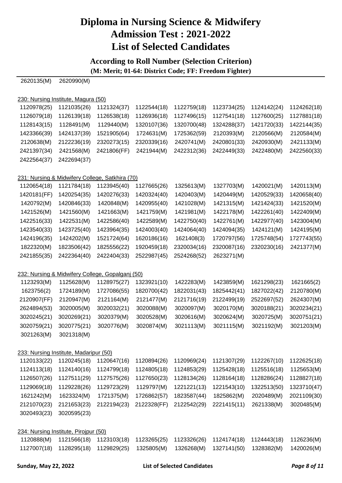### **According to Roll Number (Selection Criterion)**

| 2620135(M)  | 2620990(M)                                           |                                                  |             |             |             |             |             |
|-------------|------------------------------------------------------|--------------------------------------------------|-------------|-------------|-------------|-------------|-------------|
|             |                                                      |                                                  |             |             |             |             |             |
|             | 230: Nursing Institute, Magura (50)                  |                                                  |             |             |             |             |             |
| 1120978(25) | 1121035(26)                                          | 1121324(37)                                      | 1122544(18) | 1122759(18) | 1123734(25) | 1124142(24) | 1124262(18) |
| 1126079(18) | 1126139(18)                                          | 1126538(18)                                      | 1126936(18) | 1127496(15) | 1127541(18) | 1127600(25) | 1127881(18) |
| 1128143(15) | 1128491(M)                                           | 1129440(M)                                       | 1320107(36) | 1320700(48) | 1324288(37) | 1421720(33) | 1422144(35) |
| 1423366(39) | 1424137(39)                                          | 1521905(64)                                      | 1724631(M)  | 1725362(59) | 2120393(M)  | 2120566(M)  | 2120584(M)  |
| 2120638(M)  | 2122236(19)                                          | 2320273(15)                                      | 2320339(16) | 2420741(M)  | 2420801(33) | 2420930(M)  | 2421133(M)  |
| 2421397(34) | 2421568(M)                                           | 2421806(FF)                                      | 2421944(M)  | 2422312(36) | 2422449(33) | 2422480(M)  | 2422560(33) |
| 2422564(37) | 2422694(37)                                          |                                                  |             |             |             |             |             |
|             |                                                      |                                                  |             |             |             |             |             |
|             |                                                      | 231: Nursing & Midwifery College, Satkhira (70)  |             |             |             |             |             |
| 1120654(18) | 1121784(18)                                          | 1123945(40)                                      | 1127665(26) | 1325613(M)  | 1327703(M)  | 1420021(M)  | 1420113(M)  |
| 1420181(FF) | 1420254(35)                                          | 1420276(33)                                      | 1420324(40) | 1420403(M)  | 1420449(M)  | 1420529(33) | 1420658(40) |
| 1420792(M)  | 1420846(33)                                          | 1420848(M)                                       | 1420955(40) | 1421028(M)  | 1421315(M)  | 1421424(33) | 1421520(M)  |
| 1421526(M)  | 1421560(M)                                           | 1421663(M)                                       | 1421759(M)  | 1421981(M)  | 1422178(M)  | 1422261(40) | 1422409(M)  |
| 1422516(33) | 1422531(M)                                           | 1422586(40)                                      | 1422589(M)  | 1422750(40) | 1422761(M)  | 1422977(40) | 1423004(M)  |
| 1423540(33) | 1423725(40)                                          | 1423964(35)                                      | 1424003(40) | 1424064(40) | 1424094(35) | 1424121(M)  | 1424195(M)  |
| 1424196(35) | 1424202(M)                                           | 1521724(64)                                      | 1620186(16) | 1621408(3)  | 1720797(56) | 1725748(54) | 1727743(55) |
| 1822320(M)  | 1823506(42)                                          | 1825556(22)                                      | 1920459(18) | 2320034(16) | 2320087(16) | 2320230(16) | 2421377(M)  |
| 2421855(35) | 2422364(40)                                          | 2422404(33)                                      | 2522987(45) | 2524268(52) | 2623271(M)  |             |             |
|             |                                                      | 232: Nursing & Midwifery College, Gopalganj (50) |             |             |             |             |             |
| 1123293(M)  | 1125628(M)                                           | 1128975(27)                                      | 1323921(10) | 1422283(M)  | 1423859(M)  | 1621298(23) | 1621665(2)  |
| 1623756(2)  | 1724189(M)                                           | 1727086(55)                                      | 1820700(42) | 1822031(43) | 1825442(41) | 1827022(42) | 2120780(M)  |
| 2120907(FF) | 2120947(M)                                           | 2121164(M)                                       | 2121477(M)  | 2121716(19) | 2122499(19) | 2522697(52) | 2624307(M)  |
| 2624894(53) | 3020005(M)                                           | 3020032(21)                                      | 3020088(M)  | 3020097(M)  | 3020170(M)  | 3020188(21) | 3020234(21) |
| 3020245(21) | 3020269(21)                                          | 3020379(M)                                       | 3020528(M)  | 3020616(M)  | 3020624(M)  | 3020725(M)  | 3020751(21) |
| 3020759(21) | 3020775(21)                                          | 3020776(M)                                       | 3020874(M)  | 3021113(M)  | 3021115(M)  | 3021192(M)  | 3021203(M)  |
| 3021263(M)  | 3021318(M)                                           |                                                  |             |             |             |             |             |
|             |                                                      |                                                  |             |             |             |             |             |
|             | 233: Nursing Institute, Madaripur (50)               |                                                  |             |             |             |             |             |
| 1120133(22) | 1120245(18)                                          | 1120647(16)                                      | 1120894(26) | 1120969(24) | 1121307(29) | 1122267(10) | 1122625(18) |
| 1124113(18) | 1124140(16)                                          | 1124799(18)                                      | 1124805(18) | 1124853(29) | 1125428(18) | 1125516(18) | 1125653(M)  |
| 1126507(26) | 1127511(29)                                          | 1127575(26)                                      | 1127650(23) | 1128134(26) | 1128164(18) | 1128286(24) | 1128827(18) |
| 1129069(18) | 1129228(26)                                          | 1129723(29)                                      | 1129797(M)  | 1221221(13) | 1221543(10) | 1322513(50) | 1323710(47) |
| 1621242(M)  | 1623324(M)                                           | 1721375(M)                                       | 1726862(57) | 1823587(44) | 1825862(M)  | 2020489(M)  | 2021109(30) |
| 2121070(23) | 2121653(23)                                          | 2122194(23)                                      | 2122328(FF) | 2122542(29) | 2221415(11) | 2621338(M)  | 3020485(M)  |
| 3020493(23) | 3020595(23)                                          |                                                  |             |             |             |             |             |
|             |                                                      |                                                  |             |             |             |             |             |
| 1120888(M)  | 234: Nursing Institute, Pirojpur (50)<br>1121566(18) | 1123103(18)                                      | 1123265(25) | 1123326(26) | 1124174(18) | 1124443(18) | 1126236(M)  |
| 1127007(18) | 1128295(18)                                          | 1129829(25)                                      | 1325805(M)  | 1326268(M)  | 1327141(50) | 1328382(M)  | 1420026(M)  |
|             |                                                      |                                                  |             |             |             |             |             |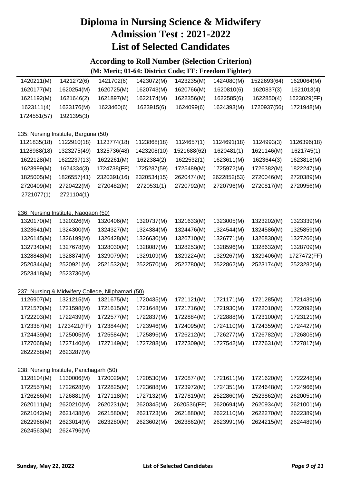### **According to Roll Number (Selection Criterion)**

| 1420211(M)  | 1421272(6)                                        | 1421702(6)  | 1423072(M)  | 1423235(M)  | 1424080(M)  | 1522693(64) | 1620064(M)  |
|-------------|---------------------------------------------------|-------------|-------------|-------------|-------------|-------------|-------------|
| 1620177(M)  | 1620254(M)                                        | 1620725(M)  | 1620743(M)  | 1620766(M)  | 1620810(6)  | 1620837(3)  | 1621013(4)  |
| 1621192(M)  | 1621646(2)                                        | 1621897(M)  | 1622174(M)  | 1622356(M)  | 1622585(6)  | 1622850(4)  | 1623029(FF) |
| 1623111(4)  | 1623176(M)                                        | 1623460(6)  | 1623915(6)  | 1624099(6)  | 1624393(M)  | 1720937(56) | 1721948(M)  |
| 1724551(57) | 1921395(3)                                        |             |             |             |             |             |             |
|             | 235: Nursing Institute, Barguna (50)              |             |             |             |             |             |             |
| 1121835(18) | 1122910(18)                                       | 1123774(18) | 1123868(18) | 1124657(1)  | 1124691(18) | 1124993(3)  | 1126396(18) |
| 1128988(18) | 1323275(49)                                       | 1325736(48) | 1423208(10) | 1521688(62) | 1620481(1)  | 1621146(M)  | 1621745(1)  |
| 1622128(M)  | 1622237(13)                                       | 1622261(M)  | 1622384(2)  | 1622532(1)  | 1623611(M)  | 1623644(3)  | 1623818(M)  |
| 1623999(M)  | 1624334(3)                                        | 1724738(FF) | 1725287(59) | 1725489(M)  | 1725972(M)  | 1726382(M)  | 1822247(M)  |
| 1825005(M)  | 1826557(41)                                       | 2320391(16) | 2320534(15) | 2620474(M)  | 2622852(53) | 2720046(M)  | 2720389(M)  |
| 2720409(M)  | 2720422(M)                                        | 2720482(M)  | 2720531(1)  | 2720792(M)  | 2720796(M)  | 2720817(M)  | 2720956(M)  |
| 2721077(1)  | 2721104(1)                                        |             |             |             |             |             |             |
|             | 236: Nursing Institute, Naogaon (50)              |             |             |             |             |             |             |
| 1320170(M)  | 1320326(M)                                        | 1320406(M)  | 1320737(M)  | 1321633(M)  | 1323005(M)  | 1323202(M)  | 1323339(M)  |
| 1323641(M)  | 1324300(M)                                        | 1324327(M)  | 1324384(M)  | 1324476(M)  | 1324544(M)  | 1324586(M)  | 1325859(M)  |
| 1326145(M)  | 1326199(M)                                        | 1326428(M)  | 1326630(M)  | 1326710(M)  | 1326771(M)  | 1326830(M)  | 1327266(M)  |
| 1327340(M)  | 1327678(M)                                        | 1328030(M)  | 1328087(M)  | 1328253(M)  | 1328596(M)  | 1328632(M)  | 1328709(M)  |
| 1328848(M)  | 1328874(M)                                        | 1329079(M)  | 1329109(M)  | 1329224(M)  | 1329267(M)  | 1329406(M)  | 1727472(FF) |
| 2520344(M)  | 2520921(M)                                        | 2521532(M)  | 2522570(M)  | 2522780(M)  | 2522862(M)  | 2523174(M)  | 2523282(M)  |
| 2523418(M)  | 2523736(M)                                        |             |             |             |             |             |             |
|             | 237: Nursing & Midwifery College, Nilphamari (50) |             |             |             |             |             |             |
| 1126907(M)  | 1321215(M)                                        | 1321675(M)  | 1720435(M)  | 1721121(M)  | 1721171(M)  | 1721285(M)  | 1721439(M)  |
| 1721570(M)  | 1721598(M)                                        | 1721615(M)  | 1721648(M)  | 1721716(M)  | 1721930(M)  | 1722010(M)  | 1722092(M)  |
| 1722203(M)  | 1722439(M)                                        | 1722577(M)  | 1722837(M)  | 1722884(M)  | 1722888(M)  | 1723100(M)  | 1723121(M)  |
| 1723387(M)  | 1723421(FF)                                       | 1723844(M)  | 1723946(M)  | 1724095(M)  | 1724110(M)  | 1724359(M)  | 1724427(M)  |
| 1724439(M)  | 1725005(M)                                        | 1725584(M)  | 1725896(M)  | 1726212(M)  | 1726277(M)  | 1726782(M)  | 1726805(M)  |
| 1727068(M)  | 1727140(M)                                        | 1727149(M)  | 1727288(M)  | 1727309(M)  | 1727542(M)  | 1727631(M)  | 1727817(M)  |
| 2622258(M)  | 2623287(M)                                        |             |             |             |             |             |             |
|             | 238: Nursing Institute, Panchagarh (50)           |             |             |             |             |             |             |
| 1128104(M)  | 1130006(M)                                        | 1720029(M)  | 1720530(M)  | 1720874(M)  | 1721611(M)  | 1721620(M)  | 1722248(M)  |
| 1722557(M)  | 1722628(M)                                        | 1722825(M)  | 1723688(M)  | 1723972(M)  | 1724351(M)  | 1724648(M)  | 1724966(M)  |
| 1726266(M)  | 1726881(M)                                        | 1727118(M)  | 1727132(M)  | 1727819(M)  | 2522860(M)  | 2523862(M)  | 2620051(M)  |
| 2620111(M)  | 2620210(M)                                        | 2620231(M)  | 2620345(M)  | 2620536(FF) | 2620694(M)  | 2620934(M)  | 2621001(M)  |
| 2621042(M)  | 2621438(M)                                        | 2621580(M)  | 2621723(M)  | 2621880(M)  | 2622110(M)  | 2622270(M)  | 2622389(M)  |
| 2622966(M)  | 2623014(M)                                        | 2623280(M)  | 2623602(M)  | 2623862(M)  | 2623991(M)  | 2624215(M)  | 2624489(M)  |
| 2624563(M)  | 2624796(M)                                        |             |             |             |             |             |             |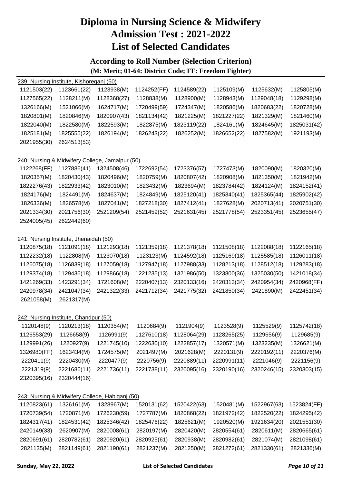### **According to Roll Number (Selection Criterion) (M: Merit; 01-64: District Code; FF: Freedom Fighter)**

|             | 239: Nursing Institute, Kishoreganj (50) |                                                 |             |             |             |             |             |
|-------------|------------------------------------------|-------------------------------------------------|-------------|-------------|-------------|-------------|-------------|
| 1121503(22) | 1123661(22)                              | 1123938(M)                                      | 1124252(FF) | 1124589(22) | 1125109(M)  | 1125632(M)  | 1125805(M)  |
| 1127565(22) | 1128211(M)                               | 1128368(27)                                     | 1128838(M)  | 1128900(M)  | 1128943(M)  | 1129048(18) | 1129298(M)  |
| 1326166(M)  | 1521066(M)                               | 1624717(M)                                      | 1720499(59) | 1724347(M)  | 1820586(M)  | 1820683(22) | 1820728(M)  |
| 1820801(M)  | 1820846(M)                               | 1820907(43)                                     | 1821134(42) | 1821225(M)  | 1821227(22) | 1821329(M)  | 1821460(M)  |
| 1822040(M)  | 1822580(M)                               | 1822593(M)                                      | 1822875(M)  | 1823119(22) | 1824161(M)  | 1824645(M)  | 1825031(42) |
| 1825181(M)  | 1825555(22)                              | 1826194(M)                                      | 1826243(22) | 1826252(M)  | 1826652(22) | 1827582(M)  | 1921193(M)  |
| 2021955(30) | 2624513(53)                              |                                                 |             |             |             |             |             |
|             |                                          | 240: Nursing & Midwifery College, Jamalpur (50) |             |             |             |             |             |
| 1122268(FF) | 1127886(41)                              | 1324508(46)                                     | 1722692(54) | 1723376(57) | 1727473(M)  | 1820090(M)  | 1820320(M)  |
| 1820357(M)  | 1820430(43)                              | 1820496(M)                                      | 1820759(M)  | 1820807(42) | 1820908(M)  | 1821350(M)  | 1821942(M)  |
| 1822276(43) | 1822933(42)                              | 1823010(M)                                      | 1823432(M)  | 1823694(M)  | 1823784(42) | 1824124(M)  | 1824152(41) |
| 1824176(M)  | 1824491(M)                               | 1824637(M)                                      | 1824849(M)  | 1825120(41) | 1825340(41) | 1825365(44) | 1825902(42) |
| 1826336(M)  | 1826578(M)                               | 1827041(M)                                      | 1827218(30) | 1827412(41) | 1827628(M)  | 2020713(41) | 2020751(30) |
| 2021334(30) | 2021756(30)                              | 2521209(54)                                     | 2521459(52) | 2521631(45) | 2521778(54) | 2523351(45) | 2523655(47) |
| 2524005(45) | 2622449(60)                              |                                                 |             |             |             |             |             |
|             | 241: Nursing Institute, Jhenaidah (50)   |                                                 |             |             |             |             |             |
| 1120875(18) | 1121091(18)                              | 1121293(18)                                     | 1121359(18) | 1121378(18) | 1121508(18) | 1122088(18) | 1122165(18) |
| 1122232(18) | 1122808(M)                               | 1123070(18)                                     | 1123123(M)  | 1124592(18) | 1125169(18) | 1125585(18) | 1126011(18) |
| 1126075(18) | 1126839(18)                              | 1127059(18)                                     | 1127947(18) | 1127988(33) | 1128213(18) | 1128512(18) | 1129283(18) |
| 1129374(18) | 1129436(18)                              | 1129866(18)                                     | 1221235(13) | 1321986(50) | 1323800(36) | 1325030(50) | 1421018(34) |
| 1421269(33) | 1423291(34)                              | 1721608(M)                                      | 2220407(13) | 2320133(16) | 2420313(34) | 2420954(34) | 2420968(FF) |
| 2420978(34) | 2421047(34)                              | 2421322(33)                                     | 2421712(34) | 2421775(32) | 2421850(34) | 2421890(M)  | 2422451(34) |
| 2621058(M)  | 2621317(M)                               |                                                 |             |             |             |             |             |
|             | 242: Nursing Institute, Chandpur (50)    |                                                 |             |             |             |             |             |
| 1120148(9)  | 1120213(18)                              | 1120354(M)                                      | 1120684(9)  | 1121904(9)  | 1123528(9)  | 1125529(9)  | 1125742(18) |
| 1126553(29) | 1126658(9)                               | 1126991(9)                                      | 1127610(18) | 1128064(29) | 1128265(25) | 1129656(9)  | 1129685(9)  |
| 1129991(26) | 1220927(9)                               | 1221745(10)                                     | 1222630(10) | 1222857(17) | 1320571(M)  | 1323235(M)  | 1326621(M)  |
| 1326980(FF) | 1623434(M)                               | 1724575(M)                                      | 2021497(M)  | 2021628(M)  | 2220131(9)  | 2220192(11) | 2220376(M)  |
| 2220411(9)  | 2220430(M)                               | 2220477(9)                                      | 2220756(9)  | 2220889(11) | 2220991(11) | 2221046(9)  | 2221156(9)  |
| 2221319(9)  | 2221686(11)                              | 2221736(11)                                     | 2221738(11) | 2320095(16) | 2320190(16) | 2320246(15) | 2320303(15) |
| 2320395(16) | 2320444(16)                              |                                                 |             |             |             |             |             |
|             |                                          | 243: Nursing & Midwifery College, Habiganj (50) |             |             |             |             |             |
| 1120823(61) | 1326161(M)                               | 1328967(M)                                      | 1520131(62) | 1520422(63) | 1520481(M)  | 1522967(63) | 1523824(FF) |
| 1720739(54) | 1720871(M)                               | 1726230(59)                                     | 1727787(M)  | 1820868(22) | 1821972(42) | 1822520(22) | 1824295(42) |
| 1824317(41) | 1824531(42)                              | 1825346(42)                                     | 1825476(22) | 1825621(M)  | 1920520(M)  | 1921634(20) | 2021551(30) |

2420149(33) 2620907(M) 2820008(61) 2820197(M) 2820420(M) 2820554(61) 2820611(M) 2820665(61)

2820691(61) 2820782(61) 2820920(61) 2820925(61) 2820938(M) 2820982(61) 2821074(M) 2821098(61) 2821135(M) 2821149(61) 2821190(61) 2821237(M) 2821250(M) 2821272(61) 2821330(61) 2821336(M) **Sunday, May 22, 2022 List of Selected Candidates** *Page 10 of 11*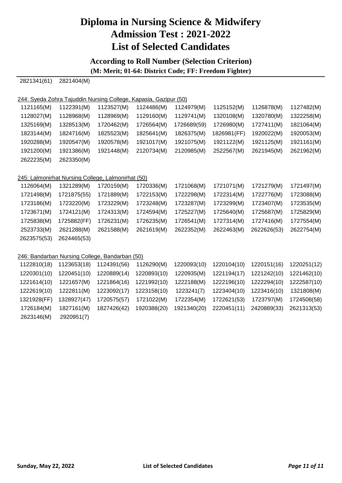### **According to Roll Number (Selection Criterion)**

**(M: Merit; 01-64: District Code; FF: Freedom Fighter)**

| 2821341(61) | 2821404(M)                                                       |             |             |             |             |             |             |
|-------------|------------------------------------------------------------------|-------------|-------------|-------------|-------------|-------------|-------------|
|             |                                                                  |             |             |             |             |             |             |
|             | 244: Syeda Zohra Tajuddin Nursing College, Kapasia, Gazipur (50) |             |             |             |             |             |             |
| 1121165(M)  | 1122391(M)                                                       | 1123527(M)  | 1124486(M)  | 1124979(M)  | 1125152(M)  | 1126878(M)  | 1127482(M)  |
| 1128027(M)  | 1128968(M)                                                       | 1128969(M)  | 1129160(M)  | 1129741(M)  | 1320108(M)  | 1320780(M)  | 1322258(M)  |
| 1325169(M)  | 1328513(M)                                                       | 1720462(M)  | 1726564(M)  | 1726689(59) | 1726980(M)  | 1727411(M)  | 1821064(M)  |
| 1823144(M)  | 1824716(M)                                                       | 1825523(M)  | 1825641(M)  | 1826375(M)  | 1826981(FF) | 1920022(M)  | 1920053(M)  |
| 1920288(M)  | 1920547(M)                                                       | 1920578(M)  | 1921017(M)  | 1921075(M)  | 1921122(M)  | 1921125(M)  | 1921161(M)  |
| 1921200(M)  | 1921386(M)                                                       | 1921448(M)  | 2120734(M)  | 2120985(M)  | 2522567(M)  | 2621945(M)  | 2621962(M)  |
| 2622235(M)  | 2623350(M)                                                       |             |             |             |             |             |             |
|             |                                                                  |             |             |             |             |             |             |
|             | 245: Lalmonirhat Nursing College, Lalmonirhat (50)               |             |             |             |             |             |             |
| 1126064(M)  | 1321289(M)                                                       | 1720159(M)  | 1720336(M)  | 1721068(M)  | 1721071(M)  | 1721279(M)  | 1721497(M)  |
| 1721498(M)  | 1721875(55)                                                      | 1721889(M)  | 1722153(M)  | 1722298(M)  | 1722314(M)  | 1722776(M)  | 1723088(M)  |
| 1723186(M)  | 1723220(M)                                                       | 1723229(M)  | 1723248(M)  | 1723287(M)  | 1723299(M)  | 1723407(M)  | 1723535(M)  |
| 1723671(M)  | 1724121(M)                                                       | 1724313(M)  | 1724594(M)  | 1725227(M)  | 1725640(M)  | 1725687(M)  | 1725829(M)  |
| 1725838(M)  | 1725882(FF)                                                      | 1726231(M)  | 1726235(M)  | 1726541(M)  | 1727314(M)  | 1727416(M)  | 1727554(M)  |
| 2523733(M)  | 2621288(M)                                                       | 2621588(M)  | 2621619(M)  | 2622352(M)  | 2622463(M)  | 2622626(53) | 2622754(M)  |
| 2623575(53) | 2624465(53)                                                      |             |             |             |             |             |             |
|             |                                                                  |             |             |             |             |             |             |
|             | 246: Bandarban Nursing College, Bandarban (50)                   |             |             |             |             |             |             |
| 1122810(18) | 1123653(18)                                                      | 1124391(56) | 1126290(M)  | 1220093(10) | 1220104(10) | 1220151(16) | 1220251(12) |
| 1220301(10) | 1220451(10)                                                      | 1220889(14) | 1220893(10) | 1220935(M)  | 1221194(17) | 1221242(10) | 1221462(10) |
| 1221614(10) | 1221657(M)                                                       | 1221864(16) | 1221992(10) | 1222188(M)  | 1222196(10) | 1222294(10) | 1222587(10) |
| 1222619(10) | 1222811(M)                                                       | 1223092(17) | 1223158(10) | 1223241(7)  | 1223404(10) | 1223416(10) | 1321808(M)  |
| 1321928(FF) | 1328927(47)                                                      | 1720575(57) | 1721022(M)  | 1722354(M)  | 1722621(53) | 1723797(M)  | 1724508(58) |

1726184(M) 1827161(M) 1827426(42) 1920388(20) 1921340(20) 2220451(11) 2420889(33) 2621313(53)

2623146(M) 2920951(7)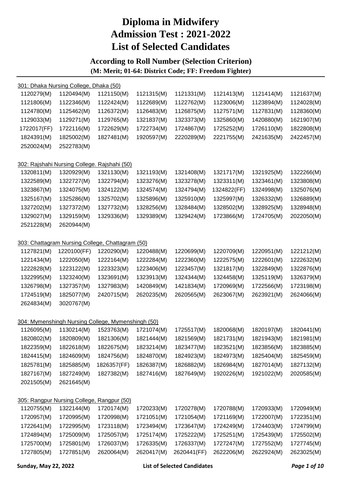# **According to Roll Number (Selection Criterion)**

**(M: Merit; 01-64: District Code; FF: Freedom Fighter)**

|             | 301: Dhaka Nursing College, Dhaka (50) |                                                    |            |             |             |            |            |
|-------------|----------------------------------------|----------------------------------------------------|------------|-------------|-------------|------------|------------|
| 1120279(M)  | 1120494(M)                             | 1121150(M)                                         | 1121315(M) | 1121331(M)  | 1121413(M)  | 1121414(M) | 1121637(M) |
| 1121806(M)  | 1122346(M)                             | 1122424(M)                                         | 1122689(M) | 1122762(M)  | 1123006(M)  | 1123894(M) | 1124028(M) |
| 1124780(M)  | 1125462(M)                             | 1126372(M)                                         | 1126483(M) | 1126875(M)  | 1127571(M)  | 1127831(M) | 1128360(M) |
| 1129033(M)  | 1129271(M)                             | 1129765(M)                                         | 1321837(M) | 1323373(M)  | 1325860(M)  | 1420880(M) | 1621907(M) |
| 1722017(FF) | 1722116(M)                             | 1722629(M)                                         | 1722734(M) | 1724867(M)  | 1725252(M)  | 1726110(M) | 1822808(M) |
| 1824391(M)  | 1825002(M)                             | 1827481(M)                                         | 1920597(M) | 2220289(M)  | 2221755(M)  | 2421635(M) | 2422457(M) |
| 2520024(M)  | 2522783(M)                             |                                                    |            |             |             |            |            |
|             |                                        |                                                    |            |             |             |            |            |
|             |                                        | 302: Rajshahi Nursing College. Rajshahi (50)       |            |             |             |            |            |
| 1320811(M)  | 1320929(M)                             | 1321130(M)                                         | 1321193(M) | 1321408(M)  | 1321717(M)  | 1321925(M) | 1322266(M) |
| 1322589(M)  | 1322727(M)                             | 1322794(M)                                         | 1323276(M) | 1323278(M)  | 1323311(M)  | 1323461(M) | 1323808(M) |
| 1323867(M)  | 1324075(M)                             | 1324122(M)                                         | 1324574(M) | 1324794(M)  | 1324822(FF) | 1324998(M) | 1325076(M) |
| 1325167(M)  | 1325286(M)                             | 1325702(M)                                         | 1325896(M) | 1325910(M)  | 1325997(M)  | 1326332(M) | 1326889(M) |
| 1327202(M)  | 1327372(M)                             | 1327732(M)                                         | 1328256(M) | 1328484(M)  | 1328502(M)  | 1328925(M) | 1328948(M) |
| 1329027(M)  | 1329159(M)                             | 1329336(M)                                         | 1329389(M) | 1329424(M)  | 1723866(M)  | 1724705(M) | 2022050(M) |
| 2521228(M)  | 2620944(M)                             |                                                    |            |             |             |            |            |
|             |                                        | 303: Chattagram Nursing College, Chattagram (50)   |            |             |             |            |            |
| 1127821(M)  | 1220100(FF)                            | 1220290(M)                                         | 1220488(M) | 1220699(M)  | 1220709(M)  | 1220951(M) | 1221212(M) |
| 1221434(M)  | 1222050(M)                             | 1222164(M)                                         | 1222284(M) | 1222360(M)  | 1222575(M)  | 1222601(M) | 1222632(M) |
| 1222828(M)  | 1223122(M)                             | 1223323(M)                                         | 1223406(M) | 1223457(M)  | 1321817(M)  | 1322849(M) | 1322876(M) |
| 1322995(M)  | 1323240(M)                             | 1323691(M)                                         | 1323913(M) | 1324344(M)  | 1324458(M)  | 1325119(M) | 1326379(M) |
| 1326798(M)  | 1327357(M)                             | 1327983(M)                                         | 1420849(M) | 1421834(M)  | 1720969(M)  | 1722566(M) | 1723198(M) |
| 1724519(M)  | 1825077(M)                             | 2420715(M)                                         | 2620235(M) | 2620565(M)  | 2623067(M)  | 2623921(M) | 2624066(M) |
| 2624834(M)  | 3020767(M)                             |                                                    |            |             |             |            |            |
|             |                                        | 304: Mymenshingh Nursing College, Mymenshingh (50) |            |             |             |            |            |
| 1126095(M)  | 1130214(M)                             | 1523763(M)                                         | 1721074(M) | 1725517(M)  | 1820068(M)  | 1820197(M) | 1820441(M) |
| 1820802(M)  | 1820809(M)                             | 1821306(M)                                         | 1821444(M) | 1821569(M)  | 1821731(M)  | 1821943(M) | 1821981(M) |
| 1822359(M)  | 1822618(M)                             | 1822675(M)                                         | 1823214(M) | 1823477(M)  | 1823521(M)  | 1823856(M) | 1823885(M) |
| 1824415(M)  | 1824609(M)                             | 1824756(M)                                         | 1824870(M) | 1824923(M)  | 1824973(M)  | 1825404(M) | 1825459(M) |
| 1825781(M)  | 1825885(M)                             | 1826357(FF)                                        | 1826387(M) | 1826882(M)  | 1826984(M)  | 1827014(M) | 1827132(M) |
| 1827167(M)  | 1827249(M)                             | 1827382(M)                                         | 1827416(M) | 1827649(M)  | 1920226(M)  | 1921022(M) | 2020585(M) |
| 2021505(M)  | 2621645(M)                             |                                                    |            |             |             |            |            |
|             |                                        |                                                    |            |             |             |            |            |
|             |                                        | 305: Rangpur Nursing College, Rangpur (50)         |            |             |             |            |            |
| 1120755(M)  | 1322144(M)                             | 1720174(M)                                         | 1720233(M) | 1720278(M)  | 1720788(M)  | 1720933(M) | 1720949(M) |
| 1720957(M)  | 1720995(M)                             | 1720998(M)                                         | 1721051(M) | 1721054(M)  | 1721169(M)  | 1722007(M) | 1722351(M) |
| 1722641(M)  | 1722995(M)                             | 1723118(M)                                         | 1723494(M) | 1723647(M)  | 1724249(M)  | 1724403(M) | 1724799(M) |
| 1724894(M)  | 1725009(M)                             | 1725057(M)                                         | 1725174(M) | 1725222(M)  | 1725251(M)  | 1725439(M) | 1725502(M) |
| 1725700(M)  | 1725801(M)                             | 1726037(M)                                         | 1726335(M) | 1726337(M)  | 1727247(M)  | 1727552(M) | 1727745(M) |
| 1727805(M)  | 1727851(M)                             | 2620064(M)                                         | 2620417(M) | 2620441(FF) | 2622206(M)  | 2622924(M) | 2623025(M) |

**Sunday, May 22, 2022 List of Selected Candidates** *Page 1 of 10*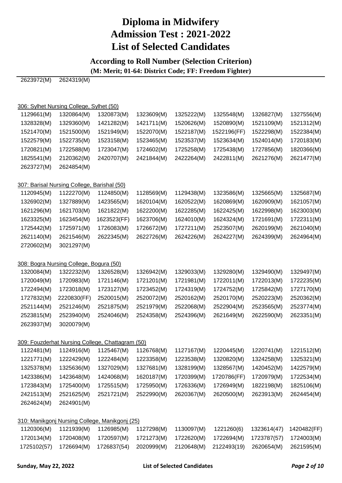**According to Roll Number (Selection Criterion)**

**(M: Merit; 01-64: District Code; FF: Freedom Fighter)**

2623972(M) 2624319(M)

#### 306: Sylhet Nursing College, Sylhet (50)

| 1129661(M) | 1320864(M)                                  | 1320873(M)                                       | 1323609(M) | 1325222(M) | 1325548(M)  | 1326827(M)  | 1327556(M)  |
|------------|---------------------------------------------|--------------------------------------------------|------------|------------|-------------|-------------|-------------|
| 1328328(M) | 1329360(M)                                  | 1421282(M)                                       | 1421711(M) | 1520626(M) | 1520890(M)  | 1521109(M)  | 1521312(M)  |
| 1521470(M) | 1521500(M)                                  | 1521949(M)                                       | 1522070(M) | 1522187(M) | 1522196(FF) | 1522298(M)  | 1522384(M)  |
| 1522579(M) | 1522735(M)                                  | 1523158(M)                                       | 1523465(M) | 1523537(M) | 1523634(M)  | 1524014(M)  | 1720183(M)  |
| 1720821(M) | 1722588(M)                                  | 1723047(M)                                       | 1724602(M) | 1725258(M) | 1725438(M)  | 1727856(M)  | 1820366(M)  |
| 1825541(M) | 2120362(M)                                  | 2420707(M)                                       | 2421844(M) | 2422264(M) | 2422811(M)  | 2621276(M)  | 2621477(M)  |
| 2623727(M) | 2624854(M)                                  |                                                  |            |            |             |             |             |
|            | 307: Barisal Nursing College, Barishal (50) |                                                  |            |            |             |             |             |
| 1120945(M) | 1122270(M)                                  | 1124850(M)                                       | 1128569(M) | 1129438(M) | 1323586(M)  | 1325665(M)  | 1325687(M)  |
| 1326902(M) | 1327889(M)                                  | 1423565(M)                                       | 1620104(M) | 1620522(M) | 1620869(M)  | 1620909(M)  | 1621057(M)  |
| 1621296(M) | 1621703(M)                                  | 1621822(M)                                       | 1622200(M) | 1622285(M) | 1622425(M)  | 1622998(M)  | 1623003(M)  |
| 1623325(M) | 1623454(M)                                  | 1623523(FF)                                      | 1623706(M) | 1624010(M) | 1624324(M)  | 1721691(M)  | 1722311(M)  |
| 1725442(M) | 1725971(M)                                  | 1726083(M)                                       | 1726672(M) | 1727211(M) | 2523507(M)  | 2620199(M)  | 2621040(M)  |
| 2621140(M) | 2621546(M)                                  | 2622345(M)                                       | 2622726(M) | 2624226(M) | 2624227(M)  | 2624399(M)  | 2624964(M)  |
| 2720602(M) | 3021297(M)                                  |                                                  |            |            |             |             |             |
|            | 308: Bogra Nursing College, Bogura (50)     |                                                  |            |            |             |             |             |
| 1320084(M) | 1322232(M)                                  | 1326528(M)                                       | 1326942(M) | 1329033(M) | 1329280(M)  | 1329490(M)  | 1329497(M)  |
| 1720049(M) | 1720983(M)                                  | 1721146(M)                                       | 1721201(M) | 1721981(M) | 1722011(M)  | 1722013(M)  | 1722235(M)  |
| 1722494(M) | 1723018(M)                                  | 1723127(M)                                       | 1723452(M) | 1724319(M) | 1724752(M)  | 1725842(M)  | 1727170(M)  |
| 1727832(M) | 2220830(FF)                                 | 2520015(M)                                       | 2520072(M) | 2520162(M) | 2520170(M)  | 2520223(M)  | 2520362(M)  |
| 2521144(M) | 2521246(M)                                  | 2521875(M)                                       | 2521979(M) | 2522068(M) | 2522904(M)  | 2523565(M)  | 2523774(M)  |
| 2523815(M) | 2523940(M)                                  | 2524046(M)                                       | 2524358(M) | 2524396(M) | 2621649(M)  | 2622590(M)  | 2623351(M)  |
| 2623937(M) | 3020079(M)                                  |                                                  |            |            |             |             |             |
|            |                                             | 309: Fouzderhat Nursing College, Chattagram (50) |            |            |             |             |             |
| 1122481(M) | 1124916(M)                                  | 1125467(M)                                       | 1126768(M) | 1127167(M) | 1220445(M)  | 1220741(M)  | 1221512(M)  |
| 1221771(M) | 1222429(M)                                  | 1222484(M)                                       | 1223358(M) | 1223538(M) | 1320820(M)  | 1324258(M)  | 1325321(M)  |
| 1325378(M) | 1325636(M)                                  | 1327029(M)                                       | 1327681(M) | 1328199(M) | 1328567(M)  | 1420452(M)  | 1422579(M)  |
| 1423386(M) | 1423648(M)                                  | 1424068(M)                                       | 1620187(M) | 1720399(M) | 1720786(FF) | 1720979(M)  | 1722534(M)  |
| 1723843(M) | 1725400(M)                                  | 1725515(M)                                       | 1725950(M) | 1726336(M) | 1726949(M)  | 1822198(M)  | 1825106(M)  |
| 2421513(M) | 2521625(M)                                  | 2521721(M)                                       | 2522990(M) | 2620367(M) | 2620500(M)  | 2623913(M)  | 2624454(M)  |
| 2624624(M) | 2624901(M)                                  |                                                  |            |            |             |             |             |
|            |                                             | 310: Manikgonj Nursing College, Manikgonj (25)   |            |            |             |             |             |
| 1120306(M) | 1121939(M)                                  | 1126985(M)                                       | 1127298(M) | 1130097(M) | 1221260(6)  | 1323614(47) | 1420482(FF) |
| 1720134(M) | 1720408(M)                                  | 1720597(M)                                       | 1721273(M) | 1722620(M) | 1722694(M)  | 1723787(57) | 1724003(M)  |

1725102(57) 1726694(M) 1726837(54) 2020999(M) 2120648(M) 2122493(19) 2620654(M) 2621595(M)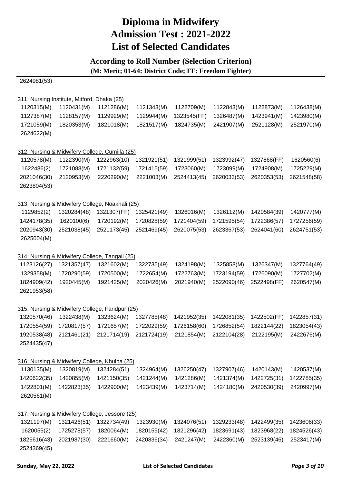### **According to Roll Number (Selection Criterion)**

**(M: Merit; 01-64: District Code; FF: Freedom Fighter)**

2624981(53)

#### 311: Nursing Institute, Mitford, Dhaka (25)

| 1120315(M)  | 1120431(M)                                      | 1121286(M)  | 1121343(M)  | 1122709(M)  | 1122843(M)  | 1122873(M)  | 1126438(M)  |
|-------------|-------------------------------------------------|-------------|-------------|-------------|-------------|-------------|-------------|
| 1127387(M)  | 1128157(M)                                      | 1129929(M)  | 1129944(M)  | 1323545(FF) | 1326487(M)  | 1423941(M)  | 1423980(M)  |
| 1721059(M)  | 1820353(M)                                      | 1821018(M)  | 1821517(M)  | 1824735(M)  | 2421907(M)  | 2521128(M)  | 2521970(M)  |
| 2624622(M)  |                                                 |             |             |             |             |             |             |
|             | 312: Nursing & Midwifery College, Cumilla (25)  |             |             |             |             |             |             |
| 1120578(M)  | 1122390(M)                                      | 1222963(10) | 1321921(51) | 1321999(51) | 1323992(47) | 1327868(FF) | 1620560(6)  |
| 1622486(2)  | 1721088(M)                                      | 1721132(59) | 1721415(59) | 1723060(M)  | 1723099(M)  | 1724908(M)  | 1725229(M)  |
| 2021046(30) | 2120953(M)                                      | 2220290(M)  | 2221003(M)  | 2524413(45) | 2620033(53) | 2620353(53) | 2621548(58) |
| 2623804(53) |                                                 |             |             |             |             |             |             |
|             | 313: Nursing & Midwifery College, Noakhali (25) |             |             |             |             |             |             |
| 1129852(2)  | 1320284(48)                                     | 1321307(FF) | 1325421(49) | 1326016(M)  | 1326112(M)  | 1420584(39) | 1420777(M)  |
| 1424178(35) | 1620100(6)                                      | 1720192(M)  | 1720828(59) | 1721404(59) | 1721595(54) | 1722386(57) | 1727256(59) |
| 2020943(30) | 2521038(45)                                     | 2521173(45) | 2521469(45) | 2620075(53) | 2623367(53) | 2624041(60) | 2624751(53) |
| 2625004(M)  |                                                 |             |             |             |             |             |             |
|             | 314: Nursing & Midwifery College, Tangail (25)  |             |             |             |             |             |             |
| 1123126(27) | 1321357(47)                                     | 1321602(M)  | 1322735(49) | 1324198(M)  | 1325858(M)  | 1326347(M)  | 1327764(49) |
| 1329358(M)  | 1720290(59)                                     | 1720500(M)  | 1722654(M)  | 1722763(M)  | 1723194(59) | 1726090(M)  | 1727702(M)  |
| 1824909(42) | 1920445(M)                                      | 1921425(M)  | 2020426(M)  | 2021940(M)  | 2522090(46) | 2522498(FF) | 2620547(M)  |
| 2621953(58) |                                                 |             |             |             |             |             |             |
|             | 315: Nursing & Midwifery College, Faridpur (25) |             |             |             |             |             |             |
| 1320570(46) | 1322438(M)                                      | 1323624(M)  | 1327785(48) | 1421952(35) | 1422081(35) | 1422502(FF) | 1422857(31) |
| 1720554(59) | 1720817(57)                                     | 1721657(M)  | 1722029(59) | 1726158(60) | 1726852(54) | 1822144(22) | 1823054(43) |
| 1920538(48) | 2121461(21)                                     | 2121714(19) | 2121724(19) | 2121854(M)  | 2122104(28) | 2122195(M)  | 2422676(M)  |
| 2524435(47) |                                                 |             |             |             |             |             |             |
|             | 316: Nursing & Midwifery College, Khulna (25)   |             |             |             |             |             |             |
| 1130135(M)  | 1320819(M)                                      | 1324284(51) | 1324964(M)  | 1326250(47) | 1327907(46) | 1420143(M)  | 1420537(M)  |
| 1420622(35) | 1420855(M)                                      | 1421150(35) | 1421244(M)  | 1421286(M)  | 1421374(M)  | 1422725(31) | 1422785(35) |
| 1422801(M)  | 1422823(35)                                     | 1422900(M)  | 1423439(M)  | 1423714(M)  | 1424180(M)  | 2420530(39) | 2420997(M)  |
| 2620561(M)  |                                                 |             |             |             |             |             |             |
|             | 317: Nursing & Midwifery College, Jessore (25)  |             |             |             |             |             |             |
| 1321197(M)  | 1321426(51)                                     | 1322734(49) | 1323930(M)  | 1324076(51) | 1329233(48) | 1422499(35) | 1423606(33) |
| 1620055(2)  | 1725278(57)                                     | 1820064(M)  | 1820159(42) | 1821296(42) | 1823691(43) | 1823968(22) | 1824526(43) |
| 1826616(43) | 2021987(30)                                     | 2221660(M)  | 2420836(34) | 2421247(M)  | 2422360(M)  | 2523139(46) | 2523417(M)  |

2524369(45)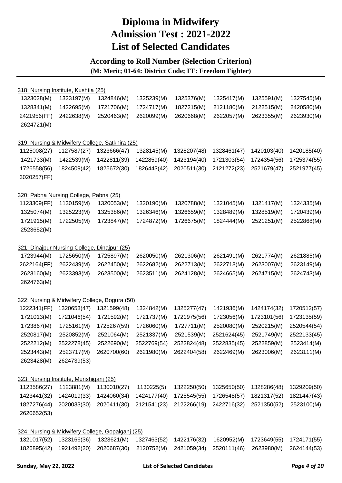### **According to Roll Number (Selection Criterion)**

|                                              | 318: Nursing Institute, Kushtia (25) |                                                  |             |                         |             |             |             |
|----------------------------------------------|--------------------------------------|--------------------------------------------------|-------------|-------------------------|-------------|-------------|-------------|
| 1323028(M)                                   | 1323197(M)                           | 1324846(M)                                       | 1325239(M)  | 1325376(M)              | 1325417(M)  | 1325591(M)  | 1327545(M)  |
| 1328341(M)                                   | 1422695(M)                           | 1721706(M)                                       | 1724717(M)  | 1827215(M)              | 2121180(M)  | 2122515(M)  | 2420580(M)  |
| 2421956(FF)                                  | 2422638(M)                           | 2520463(M)                                       | 2620099(M)  | 2620668(M)              | 2622057(M)  | 2623355(M)  | 2623930(M)  |
| 2624721(M)                                   |                                      |                                                  |             |                         |             |             |             |
|                                              |                                      |                                                  |             |                         |             |             |             |
|                                              |                                      | 319: Nursing & Midwifery College, Satkhira (25)  |             |                         |             |             |             |
| 1125008(27)                                  | 1127587(27)                          | 1323666(47)                                      | 1328145(M)  | 1328207(48)             | 1328461(47) | 1420103(40) | 1420185(40) |
| 1421733(M)                                   | 1422539(M)                           | 1422811(39)                                      | 1422859(40) | 1423194(40)             | 1721303(54) | 1724354(56) | 1725374(55) |
| 1726558(56)<br>3020257(FF)                   | 1824509(42)                          | 1825672(30)                                      | 1826443(42) | 2020511(30)             | 2121272(23) | 2521679(47) | 2521977(45) |
|                                              |                                      |                                                  |             |                         |             |             |             |
| 320: Pabna Nursing College, Pabna (25)       |                                      |                                                  |             |                         |             |             |             |
| 1123309(FF)                                  | 1130159(M)                           | 1320053(M)                                       | 1320190(M)  | 1320788(M)              | 1321045(M)  | 1321417(M)  | 1324335(M)  |
| 1325074(M)                                   | 1325223(M)                           | 1325386(M)                                       | 1326346(M)  | 1326659(M)              | 1328489(M)  | 1328519(M)  | 1720439(M)  |
| 1721915(M)                                   | 1722505(M)                           | 1723847(M)                                       | 1724872(M)  | 1726675(M)              | 1824444(M)  | 2521251(M)  | 2522868(M)  |
| 2523652(M)                                   |                                      |                                                  |             |                         |             |             |             |
| 321: Dinajpur Nursing College, Dinajpur (25) |                                      |                                                  |             |                         |             |             |             |
| 1723944(M)                                   | 1725650(M)                           | 1725897(M)                                       | 2620050(M)  | 2621306(M)              | 2621491(M)  | 2621774(M)  | 2621885(M)  |
| 2622164(FF)                                  | 2622439(M)                           | 2622450(M)                                       | 2622682(M)  | 2622713(M)              | 2622718(M)  | 2623007(M)  | 2623149(M)  |
| 2623160(M)                                   | 2623393(M)                           | 2623500(M)                                       | 2623511(M)  | 2624128(M)              | 2624665(M)  | 2624715(M)  | 2624743(M)  |
| 2624763(M)                                   |                                      |                                                  |             |                         |             |             |             |
|                                              |                                      | 322: Nursing & Midwifery College, Bogura (50)    |             |                         |             |             |             |
| 1222341(FF)                                  | 1320653(47)                          | 1321599(48)                                      | 1324842(M)  | 1325277(47)             | 1421936(M)  | 1424174(32) | 1720512(57) |
| 1721013(M)                                   | 1721046(54)                          | 1721592(M)                                       | 1721737(M)  | 1721975(56)             | 1723056(M)  | 1723101(56) | 1723135(59) |
| 1723867(M)                                   | 1725161(M)                           | 1725267(59)                                      | 1726060(M)  | 1727711(M)              | 2520080(M)  | 2520215(M)  | 2520544(54) |
| 2520817(M)                                   | 2520852(M)                           | 2521064(M)                                       | 2521337(M)  | 2521539(M)              | 2521624(45) | 2521749(M)  | 2522133(45) |
| 2522212(M)                                   | 2522278(45)                          | 2522690(M)                                       |             | 2522769(54) 2522824(48) | 2522835(45) | 2522859(M)  | 2523414(M)  |
| 2523443(M)                                   | 2523717(M)                           | 2620700(60)                                      | 2621980(M)  | 2622404(58)             | 2622469(M)  | 2623006(M)  | 2623111(M)  |
| 2623428(M)                                   | 2624739(53)                          |                                                  |             |                         |             |             |             |
|                                              |                                      |                                                  |             |                         |             |             |             |
| 323: Nursing Institute, Munshiganj (25)      |                                      |                                                  |             |                         |             |             |             |
| 1123586(27)                                  | 1123881(M)                           | 1130010(27)                                      | 1130225(5)  | 1322250(50)             | 1325650(50) | 1328286(48) | 1329209(50) |
| 1423441(32)                                  | 1424019(33)                          | 1424060(34)                                      | 1424177(40) | 1725545(55)             | 1726548(57) | 1821317(52) | 1821447(43) |
| 1827276(44)                                  | 2020033(30)                          | 2020411(30)                                      | 2121541(23) | 2122266(19)             | 2422716(32) | 2521350(52) | 2523100(M)  |
| 2620652(53)                                  |                                      |                                                  |             |                         |             |             |             |
|                                              |                                      | 324: Nursing & Midwifery College, Gopalganj (25) |             |                         |             |             |             |
| 1321017(52)                                  | 1323166(36)                          | 1323621(M)                                       | 1327463(52) | 1422176(32)             | 1620952(M)  | 1723649(55) | 1724171(55) |
| 1826895(42)                                  | 1921492(20)                          | 2020687(30)                                      | 2120752(M)  | 2421059(34)             | 2520111(46) | 2623980(M)  | 2624144(53) |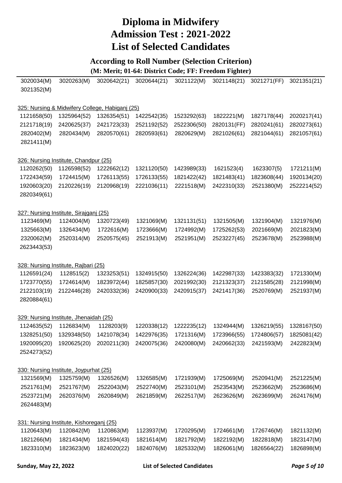### **According to Roll Number (Selection Criterion)**

| 3020034(M)  | 3020263(M)                               | 3020642(21)                                     | 3020644(21) | 3021122(M)  | 3021148(21) | 3021271(FF) | 3021351(21) |
|-------------|------------------------------------------|-------------------------------------------------|-------------|-------------|-------------|-------------|-------------|
| 3021352(M)  |                                          |                                                 |             |             |             |             |             |
|             |                                          |                                                 |             |             |             |             |             |
|             |                                          | 325: Nursing & Midwifery College, Habiganj (25) |             |             |             |             |             |
| 1121658(50) | 1325964(52)                              | 1326354(51)                                     | 1422542(35) | 1523292(63) | 1822221(M)  | 1827178(44) | 2020217(41) |
| 2121718(19) | 2420625(37)                              | 2421723(33)                                     | 2521192(52) | 2522306(50) | 2820131(FF) | 2820241(61) | 2820273(61) |
| 2820402(M)  | 2820434(M)                               | 2820570(61)                                     | 2820593(61) | 2820629(M)  | 2821026(61) | 2821044(61) | 2821057(61) |
| 2821411(M)  |                                          |                                                 |             |             |             |             |             |
|             | 326: Nursing Institute, Chandpur (25)    |                                                 |             |             |             |             |             |
| 1120262(50) | 1126598(52)                              | 1222662(12)                                     | 1321120(50) | 1423989(33) | 1621523(4)  | 1623307(5)  | 1721211(M)  |
| 1722434(59) | 1724415(M)                               | 1726113(55)                                     | 1726133(55) | 1821422(42) | 1821483(41) | 1823608(44) | 1920134(20) |
| 1920603(20) | 2120226(19)                              | 2120968(19)                                     | 2221036(11) | 2221518(M)  | 2422310(33) | 2521380(M)  | 2522214(52) |
| 2820349(61) |                                          |                                                 |             |             |             |             |             |
|             | 327: Nursing Institute, Sirajganj (25)   |                                                 |             |             |             |             |             |
| 1123469(M)  | 1124004(M)                               | 1320723(49)                                     | 1321069(M)  | 1321131(51) | 1321505(M)  | 1321904(M)  | 1321976(M)  |
| 1325663(M)  | 1326434(M)                               | 1722616(M)                                      | 1723666(M)  | 1724992(M)  | 1725262(53) | 2021669(M)  | 2021823(M)  |
| 2320062(M)  | 2520314(M)                               | 2520575(45)                                     | 2521913(M)  | 2521951(M)  | 2523227(45) | 2523678(M)  | 2523988(M)  |
| 2623443(53) |                                          |                                                 |             |             |             |             |             |
|             | 328: Nursing Institute, Rajbari (25)     |                                                 |             |             |             |             |             |
| 1126591(24) | 1128515(2)                               | 1323253(51)                                     | 1324915(50) | 1326224(36) | 1422987(33) | 1423383(32) | 1721330(M)  |
| 1723770(55) | 1724614(M)                               | 1823972(44)                                     | 1825857(30) | 2021992(30) | 2121323(37) | 2121585(28) | 2121998(M)  |
| 2122103(19) | 2122446(28)                              | 2420332(36)                                     | 2420900(33) | 2420915(37) | 2421417(36) | 2520769(M)  | 2521937(M)  |
| 2820884(61) |                                          |                                                 |             |             |             |             |             |
|             | 329: Nursing Institute, Jhenaidah (25)   |                                                 |             |             |             |             |             |
| 1124635(52) | 1126834(M)                               | 1128203(9)                                      | 1220338(12) | 1222235(12) | 1324944(M)  | 1326219(55) | 1328167(50) |
|             | 1328251(50) 1329348(50) 1421078(34)      |                                                 | 1422976(35) | 1721316(M)  | 1723966(55) | 1724806(57) | 1825081(42) |
| 1920095(20) | 1920625(20)                              | 2020211(30)                                     | 2420075(36) | 2420080(M)  | 2420662(33) | 2421593(M)  | 2422823(M)  |
| 2524273(52) |                                          |                                                 |             |             |             |             |             |
|             | 330: Nursing Institute, Joypurhat (25)   |                                                 |             |             |             |             |             |
| 1321569(M)  | 1325759(M)                               | 1326526(M)                                      | 1326585(M)  | 1721939(M)  | 1725069(M)  | 2520941(M)  | 2521225(M)  |
| 2521761(M)  | 2521767(M)                               | 2522043(M)                                      | 2522740(M)  | 2523101(M)  | 2523543(M)  | 2523662(M)  | 2523686(M)  |
| 2523721(M)  | 2620376(M)                               | 2620849(M)                                      | 2621859(M)  | 2622517(M)  | 2623626(M)  | 2623699(M)  | 2624176(M)  |
| 2624483(M)  |                                          |                                                 |             |             |             |             |             |
|             | 331: Nursing Institute, Kishoreganj (25) |                                                 |             |             |             |             |             |
| 1120643(M)  | 1120842(M)                               | 1120863(M)                                      | 1123937(M)  | 1720295(M)  | 1724661(M)  | 1726746(M)  | 1821132(M)  |
| 1821266(M)  | 1821434(M)                               | 1821594(43)                                     | 1821614(M)  | 1821792(M)  | 1822192(M)  | 1822818(M)  | 1823147(M)  |
| 1823310(M)  | 1823623(M)                               | 1824020(22)                                     | 1824076(M)  | 1825332(M)  | 1826061(M)  | 1826564(22) | 1826898(M)  |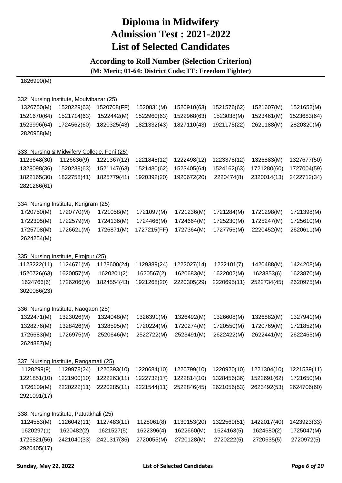### **According to Roll Number (Selection Criterion)**

**(M: Merit; 01-64: District Code; FF: Freedom Fighter)**

1826990(M)

|             | 332: Nursing Institute, Moulvibazar (25)    |             |             |             |             |             |             |
|-------------|---------------------------------------------|-------------|-------------|-------------|-------------|-------------|-------------|
| 1326750(M)  | 1520229(63)                                 | 1520708(FF) | 1520831(M)  | 1520910(63) | 1521576(62) | 1521607(M)  | 1521652(M)  |
| 1521670(64) | 1521714(63)                                 | 1522442(M)  | 1522960(63) | 1522968(63) | 1523038(M)  | 1523461(M)  | 1523683(64) |
| 1523996(64) | 1724562(60)                                 | 1820325(43) | 1821332(43) | 1827110(43) | 1921175(22) | 2621188(M)  | 2820320(M)  |
| 2820958(M)  |                                             |             |             |             |             |             |             |
|             | 333: Nursing & Midwifery College, Feni (25) |             |             |             |             |             |             |
| 1123648(30) | 1126636(9)                                  | 1221367(12) | 1221845(12) | 1222498(12) | 1223378(12) | 1326883(M)  | 1327677(50) |
| 1328098(36) | 1520239(63)                                 | 1521147(63) | 1521480(62) | 1523405(64) | 1524162(63) | 1721280(60) | 1727004(59) |
| 1822165(30) | 1822758(41)                                 | 1825779(41) | 1920392(20) | 1920672(20) | 2220474(8)  | 2320014(13) | 2422712(34) |
| 2821266(61) |                                             |             |             |             |             |             |             |
|             | 334: Nursing Institute, Kurigram (25)       |             |             |             |             |             |             |
| 1720750(M)  | 1720770(M)                                  | 1721058(M)  | 1721097(M)  | 1721236(M)  | 1721284(M)  | 1721298(M)  | 1721398(M)  |
| 1722305(M)  | 1722579(M)                                  | 1724136(M)  | 1724466(M)  | 1724664(M)  | 1725230(M)  | 1725247(M)  | 1725610(M)  |
| 1725708(M)  | 1726621(M)                                  | 1726871(M)  | 1727215(FF) | 1727364(M)  | 1727756(M)  | 2220452(M)  | 2620611(M)  |
| 2624254(M)  |                                             |             |             |             |             |             |             |
|             | 335: Nursing Institute, Pirojpur (25)       |             |             |             |             |             |             |
| 1123222(11) | 1124671(M)                                  | 1128600(24) | 1129389(24) | 1222027(14) | 1222101(7)  | 1420488(M)  | 1424208(M)  |
| 1520726(63) | 1620057(M)                                  | 1620201(2)  | 1620567(2)  | 1620683(M)  | 1622002(M)  | 1623853(6)  | 1623870(M)  |
| 1624766(6)  | 1726206(M)                                  | 1824554(43) | 1921268(20) | 2220305(29) | 2220695(11) | 2522734(45) | 2620975(M)  |
| 3020086(23) |                                             |             |             |             |             |             |             |
|             | 336: Nursing Institute, Naogaon (25)        |             |             |             |             |             |             |
| 1322471(M)  | 1323026(M)                                  | 1324048(M)  | 1326391(M)  | 1326492(M)  | 1326608(M)  | 1326882(M)  | 1327941(M)  |
| 1328276(M)  | 1328426(M)                                  | 1328595(M)  | 1720224(M)  | 1720274(M)  | 1720550(M)  | 1720769(M)  | 1721852(M)  |
| 1726683(M)  | 1726976(M)                                  | 2520646(M)  | 2522722(M)  | 2523491(M)  | 2622422(M)  | 2622441(M)  | 2622465(M)  |
| 2624887(M)  |                                             |             |             |             |             |             |             |
|             | 337: Nursing Institute, Rangamati (25)      |             |             |             |             |             |             |
| 1128299(9)  | 1129978(24)                                 | 1220393(10) | 1220684(10) | 1220799(10) | 1220920(10) | 1221304(10) | 1221539(11) |
| 1221851(10) | 1221900(10)                                 | 1222263(11) | 1222732(17) | 1222814(10) | 1328456(36) | 1522691(62) | 1721650(M)  |
| 1726109(M)  | 2220222(11)                                 | 2220285(11) | 2221544(11) | 2522846(45) | 2621056(53) | 2623492(53) | 2624706(60) |
| 2921091(17) |                                             |             |             |             |             |             |             |
|             | 338: Nursing Institute, Patuakhali (25)     |             |             |             |             |             |             |
| 1124553(M)  | 1126042(11)                                 | 1127483(11) | 1128061(8)  | 1130153(20) | 1322560(51) | 1422017(40) | 1423923(33) |
| 1620297(1)  | 1620482(2)                                  | 1621527(5)  | 1622396(4)  | 1622660(M)  | 1624163(5)  | 1624680(2)  | 1725047(M)  |
| 1726821(56) | 2421040(33)                                 | 2421317(36) | 2720055(M)  | 2720128(M)  | 2720222(5)  | 2720635(5)  | 2720972(5)  |

2920405(17)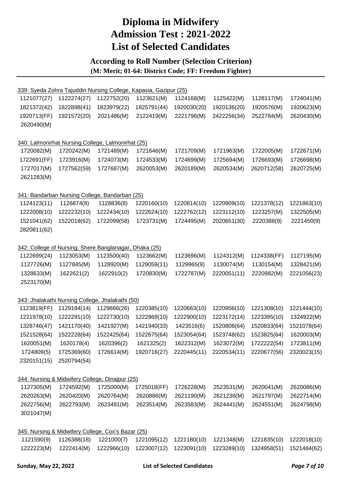### **According to Roll Number (Selection Criterion)**

|             | 339: Syeda Zohra Tajuddin Nursing College, Kapasia, Gazipur (25) |             |             |             |                                                             |             |             |
|-------------|------------------------------------------------------------------|-------------|-------------|-------------|-------------------------------------------------------------|-------------|-------------|
| 1121077(27) | 1122274(27)                                                      | 1122752(20) | 1123621(M)  | 1124168(M)  | 1125422(M)                                                  | 1128117(M)  | 1724041(M)  |
| 1821372(42) | 1822898(41)                                                      | 1823979(22) | 1825791(44) | 1920030(20) | 1920136(20)                                                 | 1920576(M)  | 1920623(M)  |
| 1920713(FF) | 1921572(20)                                                      | 2021486(M)  | 2122419(M)  | 2221796(M)  | 2422256(34)                                                 | 2522784(M)  | 2620430(M)  |
| 2620490(M)  |                                                                  |             |             |             |                                                             |             |             |
|             |                                                                  |             |             |             |                                                             |             |             |
|             | 340: Lalmonirhat Nursing College, Lalmonirhat (25)               |             |             |             |                                                             |             |             |
| 1720082(M)  | 1720242(M)                                                       | 1721489(M)  | 1721646(M)  | 1721709(M)  | 1721963(M)                                                  | 1722005(M)  | 1722671(M)  |
| 1722691(FF) | 1723916(M)                                                       | 1724073(M)  | 1724533(M)  | 1724699(M)  | 1725694(M)                                                  | 1726693(M)  | 1726698(M)  |
| 1727017(M)  | 1727562(59)                                                      | 1727687(M)  | 2620053(M)  | 2620189(M)  | 2620534(M)                                                  | 2620712(58) | 2620725(M)  |
| 2621283(M)  |                                                                  |             |             |             |                                                             |             |             |
|             | 341: Bandarban Nursing College, Bandarban (25)                   |             |             |             |                                                             |             |             |
| 1124123(11) | 1126874(8)                                                       | 1128836(8)  | 1220160(10) | 1220814(10) | 1220909(10)                                                 | 1221378(12) | 1221863(10) |
| 1222008(10) | 1222232(10)                                                      | 1222434(10) | 1222624(10) | 1222762(12) | 1223112(10)                                                 | 1223257(M)  | 1322505(M)  |
| 1521041(62) | 1522018(62)                                                      | 1722099(58) | 1723731(M)  | 1724495(M)  | 2020651(30)                                                 | 2220388(9)  | 2221450(9)  |
| 2820811(62) |                                                                  |             |             |             |                                                             |             |             |
|             |                                                                  |             |             |             |                                                             |             |             |
|             | 342: College of Nursing, Shere Banglanagar,                      |             | Dhaka (25)  |             |                                                             |             |             |
| 1122699(24) | 1123053(M)                                                       | 1123500(40) | 1123662(M)  | 1123696(M)  | 1124312(M)                                                  | 1124338(FF) | 1127195(M)  |
| 1127726(M)  | 1127845(M)                                                       | 1128920(M)  | 1129059(11) | 1129965(9)  | 1130074(M)                                                  | 1130154(M)  | 1328421(M)  |
| 1328633(M)  | 1622621(2)                                                       | 1622910(2)  | 1720830(M)  | 1722787(M)  | 2220051(11)                                                 | 2220982(M)  | 2221056(23) |
| 2523170(M)  |                                                                  |             |             |             |                                                             |             |             |
|             |                                                                  |             |             |             |                                                             |             |             |
|             | 343: Jhalakathi Nursing College, Jhalakathi (50)                 |             |             |             |                                                             |             |             |
| 1123819(FF) | 1129184(14)                                                      | 1129666(26) | 1220385(10) | 1220663(10) | 1220956(10)                                                 | 1221308(10) | 1221444(10) |
| 1221978(10) | 1222291(10)                                                      | 1222730(10) | 1222869(10) | 1222900(10) | 1223172(14)                                                 | 1223395(10) | 1324922(M)  |
| 1328746(47) | 1421170(40)                                                      | 1421927(M)  | 1421940(33) | 1423516(6)  | 1520808(64)                                                 | 1520833(64) | 1521078(64) |
| 1521528(64) | 1522228(64)                                                      | 1522425(64) | 1522675(64) | 1523054(64) | 1523748(62)                                                 | 1523825(64) | 1620003(M)  |
| 1620051(M)  | 1620178(4)                                                       | 1620396(2)  | 1621325(2)  | 1622312(M)  | 1623072(M)                                                  | 1722222(54) | 1723811(M)  |
| 1724809(5)  | 1725369(60)                                                      | 1726614(M)  |             |             | 1920716(27) 2220445(11) 2220534(11) 2220677(56) 2320023(15) |             |             |
| 2320151(15) | 2520794(54)                                                      |             |             |             |                                                             |             |             |
|             | 344: Nursing & Midwifery College, Dinajpur (25)                  |             |             |             |                                                             |             |             |
| 1127305(M)  | 1724592(M)                                                       | 1725000(M)  | 1725018(FF) | 1726228(M)  | 2523531(M)                                                  | 2620041(M)  | 2620086(M)  |
| 2620263(M)  | 2620420(M)                                                       | 2620764(M)  | 2620886(M)  | 2621190(M)  | 2621238(M)                                                  | 2621797(M)  | 2622714(M)  |
| 2622756(M)  | 2622793(M)                                                       | 2623491(M)  | 2623514(M)  | 2623583(M)  | 2624441(M)                                                  | 2624551(M)  | 2624798(M)  |
| 3021047(M)  |                                                                  |             |             |             |                                                             |             |             |
|             |                                                                  |             |             |             |                                                             |             |             |
|             | 345: Nursing & Midwifery College, Cox's Bazar (25)               |             |             |             |                                                             |             |             |
| 1121590(9)  | 1126388(18)                                                      | 1221000(7)  | 1221095(12) | 1221180(10) | 1221348(M)                                                  | 1221835(10) | 1222018(10) |
| 1222223(M)  | 1222414(M)                                                       | 1222966(10) | 1223007(12) | 1223091(10) | 1223289(10)                                                 | 1324958(51) | 1521484(62) |
|             |                                                                  |             |             |             |                                                             |             |             |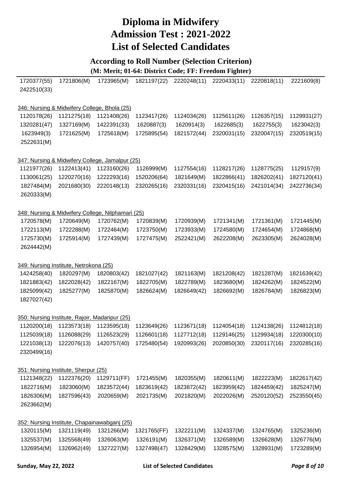### **According to Roll Number (Selection Criterion)**

| 1720377(55) | 1721806(M)                                          | 1723965(M)                                        | 1821197(22) | 2220248(11)                         | 2220433(11) | 2220818(11) | 2221609(8)  |
|-------------|-----------------------------------------------------|---------------------------------------------------|-------------|-------------------------------------|-------------|-------------|-------------|
| 2422510(33) |                                                     |                                                   |             |                                     |             |             |             |
|             |                                                     |                                                   |             |                                     |             |             |             |
|             | 346: Nursing & Midwifery College, Bhola (25)        |                                                   |             |                                     |             |             |             |
| 1120178(26) | 1121275(18)                                         | 1121408(26)                                       | 1123417(26) | 1124034(26)                         | 1125611(26) | 1126357(15) | 1129931(27) |
| 1320281(47) | 1327169(M)                                          | 1422391(33)                                       | 1620887(3)  | 1620914(3)                          | 1622685(3)  | 1622755(3)  | 1623042(3)  |
| 1623949(3)  | 1721625(M)                                          | 1725618(M)                                        | 1725895(54) | 1821572(44)                         | 2320031(15) | 2320047(15) | 2320519(15) |
| 2522631(M)  |                                                     |                                                   |             |                                     |             |             |             |
|             |                                                     |                                                   |             |                                     |             |             |             |
|             |                                                     | 347: Nursing & Midwifery College, Jamalpur (25)   |             |                                     |             |             |             |
| 1121977(26) | 1122413(41)                                         | 1123160(26)                                       | 1126999(M)  | 1127554(16)                         | 1128217(26) | 1128775(25) | 1129157(9)  |
| 1130061(25) | 1220270(16)                                         | 1222293(16)                                       | 1520206(64) | 1821649(M)                          | 1822866(41) | 1826202(41) | 1827120(41) |
| 1827484(M)  | 2021680(30)                                         | 2220148(13)                                       | 2320265(16) | 2320331(16)                         | 2320415(16) | 2421014(34) | 2422736(34) |
| 2620333(M)  |                                                     |                                                   |             |                                     |             |             |             |
|             |                                                     | 348: Nursing & Midwifery College, Nilphamari (25) |             |                                     |             |             |             |
| 1720578(M)  | 1720649(M)                                          | 1720762(M)                                        | 1720839(M)  | 1720939(M)                          | 1721341(M)  | 1721361(M)  | 1721445(M)  |
| 1722113(M)  | 1722288(M)                                          | 1722464(M)                                        | 1723750(M)  | 1723933(M)                          | 1724580(M)  | 1724654(M)  | 1724868(M)  |
| 1725730(M)  | 1725914(M)                                          | 1727439(M)                                        | 1727475(M)  | 2522421(M)                          | 2622208(M)  | 2623305(M)  | 2624028(M)  |
| 2624442(M)  |                                                     |                                                   |             |                                     |             |             |             |
|             |                                                     |                                                   |             |                                     |             |             |             |
|             | 349: Nursing Institute, Netrokona (25)              |                                                   |             |                                     |             |             |             |
| 1424258(40) | 1820297(M)                                          | 1820803(42)                                       | 1821027(42) | 1821163(M)                          | 1821208(42) | 1821287(M)  | 1821639(42) |
| 1821883(42) | 1822028(42)                                         | 1822167(M)                                        | 1822705(M)  | 1822789(M)                          | 1823680(M)  | 1824262(M)  | 1824522(M)  |
| 1825099(42) | 1825277(M)                                          | 1825870(M)                                        | 1826624(M)  | 1826649(42)                         | 1826692(M)  | 1826784(M)  | 1826823(M)  |
| 1827027(42) |                                                     |                                                   |             |                                     |             |             |             |
|             | 350: Nursing Institute, Rajoir, Madaripur (25)      |                                                   |             |                                     |             |             |             |
| 1120200(18) | 1123573(18)                                         | 1123595(18)                                       | 1123649(26) | 1123671(18)                         | 1124054(18) | 1124138(26) | 1124812(18) |
|             | 1125039(18) 1126088(29) 1126523(29)                 |                                                   | 1126601(18) | 1127712(18) 1129146(25) 1129934(18) |             |             | 1220300(10) |
| 1221038(13) | 1222076(13)                                         | 1420757(40)                                       | 1725480(54) | 1920993(26)                         | 2020850(30) | 2320117(16) | 2320285(16) |
| 2320499(16) |                                                     |                                                   |             |                                     |             |             |             |
|             |                                                     |                                                   |             |                                     |             |             |             |
| 1121348(22) | 351: Nursing Institute, Sherpur (25)<br>1122376(20) | 1129711(FF)                                       | 1721455(M)  | 1820355(M)                          | 1820611(M)  | 1822223(M)  | 1822617(42) |
| 1822716(M)  | 1823060(M)                                          | 1823572(44)                                       | 1823619(42) | 1823872(42)                         | 1823959(42) | 1824459(42) | 1825247(M)  |
| 1826306(M)  | 1827596(43)                                         | 2020659(M)                                        | 2021735(M)  | 2021820(M)                          | 2022026(M)  | 2520120(52) | 2523550(45) |
| 2623662(M)  |                                                     |                                                   |             |                                     |             |             |             |
|             |                                                     |                                                   |             |                                     |             |             |             |
|             |                                                     | 352: Nursing Institute, Chapainawabganj (25)      |             |                                     |             |             |             |
| 1320115(M)  | 1321119(49)                                         | 1321266(M)                                        | 1321765(FF) | 1322211(M)                          | 1324337(M)  | 1324765(M)  | 1325236(M)  |
| 1325537(M)  | 1325568(49)                                         | 1326063(M)                                        | 1326191(M)  | 1326371(M)                          | 1326589(M)  | 1326628(M)  | 1326776(M)  |
| 1326954(M)  | 1326962(49)                                         | 1327227(M)                                        | 1327498(47) | 1328429(M)                          | 1328575(M)  | 1328931(M)  | 1723289(M)  |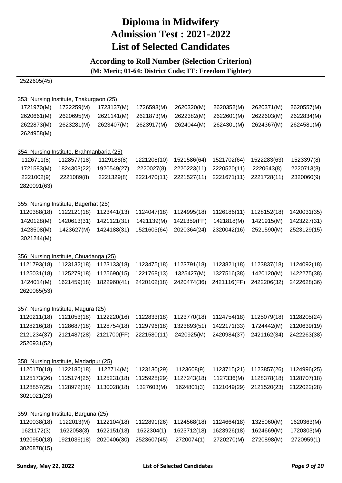### **According to Roll Number (Selection Criterion)**

**(M: Merit; 01-64: District Code; FF: Freedom Fighter)**

2522605(45)

#### 353: Nursing Institute, Thakurgaon (25)

| 1721970(M)  | 1722259(M)                                | 1723137(M)  | 1726593(M)  | 2620320(M)  | 2620352(M)  | 2620371(M)  | 2620557(M)  |
|-------------|-------------------------------------------|-------------|-------------|-------------|-------------|-------------|-------------|
| 2620661(M)  | 2620695(M)                                | 2621141(M)  | 2621873(M)  | 2622382(M)  | 2622601(M)  | 2622603(M)  | 2622834(M)  |
| 2622873(M)  | 2623281(M)                                | 2623407(M)  | 2623917(M)  | 2624044(M)  | 2624301(M)  | 2624367(M)  | 2624581(M)  |
| 2624958(M)  |                                           |             |             |             |             |             |             |
|             | 354: Nursing Institute, Brahmanbaria (25) |             |             |             |             |             |             |
| 1126711(8)  | 1128577(18)                               | 1129188(8)  | 1221208(10) | 1521586(64) | 1521702(64) | 1522283(63) | 1523397(8)  |
| 1721583(M)  | 1824303(22)                               | 1920549(27) | 2220027(8)  | 2220223(11) | 2220520(11) | 2220643(8)  | 2220713(8)  |
| 2221002(9)  | 2221089(8)                                | 2221329(8)  | 2221470(11) | 2221527(11) | 2221671(11) | 2221728(11) | 2320060(9)  |
| 2820091(63) |                                           |             |             |             |             |             |             |
|             | 355: Nursing Institute, Bagerhat (25)     |             |             |             |             |             |             |
| 1120388(18) | 1122121(18)                               | 1123441(13) | 1124047(18) | 1124995(18) | 1126186(11) | 1128152(18) | 1420031(35) |
| 1420128(M)  | 1420613(31)                               | 1421121(31) | 1421139(M)  | 1421359(FF) | 1421818(M)  | 1421915(M)  | 1423227(31) |
| 1423508(M)  | 1423627(M)                                | 1424188(31) | 1521603(64) | 2020364(24) | 2320042(16) | 2521590(M)  | 2523129(15) |
| 3021244(M)  |                                           |             |             |             |             |             |             |
|             | 356: Nursing Institute, Chuadanga (25)    |             |             |             |             |             |             |
| 1121793(18) | 1123132(18)                               | 1123133(18) | 1123475(18) | 1123791(18) | 1123821(18) | 1123837(18) | 1124092(18) |
| 1125031(18) | 1125279(18)                               | 1125690(15) | 1221768(13) | 1325427(M)  | 1327516(38) | 1420120(M)  | 1422275(38) |
| 1424014(M)  | 1621459(18)                               | 1822960(41) | 2420102(18) | 2420474(36) | 2421116(FF) | 2422206(32) | 2422628(36) |
| 2620065(53) |                                           |             |             |             |             |             |             |
|             | 357: Nursing Institute, Magura (25)       |             |             |             |             |             |             |
| 1120211(18) | 1121053(18)                               | 1122220(16) | 1122833(18) | 1123770(18) | 1124754(18) | 1125079(18) | 1128205(24) |
| 1128216(18) | 1128687(18)                               | 1128754(18) | 1129796(18) | 1323893(51) | 1422171(33) | 1724442(M)  | 2120639(19) |
| 2121234(37) | 2121487(28)                               | 2121700(FF) | 2221580(11) | 2420925(M)  | 2420984(37) | 2421162(34) | 2422263(38) |
| 2520931(52) |                                           |             |             |             |             |             |             |
|             | 358: Nursing Institute, Madaripur (25)    |             |             |             |             |             |             |
| 1120170(18) | 1122186(18)                               | 1122714(M)  | 1123130(29) | 1123608(9)  | 1123715(21) | 1123857(26) | 1124996(25) |
| 1125173(26) | 1125174(25)                               | 1125231(18) | 1125928(29) | 1127243(18) | 1127336(M)  | 1128378(18) | 1128707(18) |
| 1128857(25) | 1128972(18)                               | 1130028(18) | 1327603(M)  | 1624801(3)  | 2121049(29) | 2121520(23) | 2122022(28) |
| 3021021(23) |                                           |             |             |             |             |             |             |
|             | 359: Nursing Institute, Barguna (25)      |             |             |             |             |             |             |
| 1120038(18) | 1122013(M)                                | 1122104(18) | 1122891(26) | 1124568(18) | 1124664(18) | 1325060(M)  | 1620363(M)  |
| 1621172(3)  | 1622058(3)                                | 1622151(13) | 1622304(1)  | 1623712(18) | 1623926(18) | 1624669(M)  | 1720303(M)  |
| 1920950(18) | 1921036(18)                               | 2020406(30) | 2523607(45) | 2720074(1)  | 2720270(M)  | 2720898(M)  | 2720959(1)  |
| 3020878(15) |                                           |             |             |             |             |             |             |